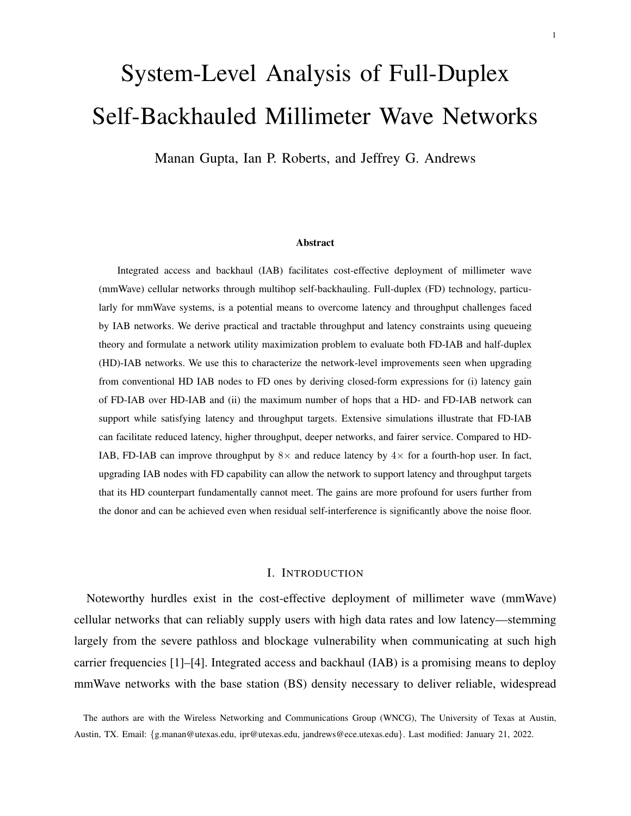# System-Level Analysis of Full-Duplex Self-Backhauled Millimeter Wave Networks

Manan Gupta, Ian P. Roberts, and Jeffrey G. Andrews

## Abstract

Integrated access and backhaul (IAB) facilitates cost-effective deployment of millimeter wave (mmWave) cellular networks through multihop self-backhauling. Full-duplex (FD) technology, particularly for mmWave systems, is a potential means to overcome latency and throughput challenges faced by IAB networks. We derive practical and tractable throughput and latency constraints using queueing theory and formulate a network utility maximization problem to evaluate both FD-IAB and half-duplex (HD)-IAB networks. We use this to characterize the network-level improvements seen when upgrading from conventional HD IAB nodes to FD ones by deriving closed-form expressions for (i) latency gain of FD-IAB over HD-IAB and (ii) the maximum number of hops that a HD- and FD-IAB network can support while satisfying latency and throughput targets. Extensive simulations illustrate that FD-IAB can facilitate reduced latency, higher throughput, deeper networks, and fairer service. Compared to HD-IAB, FD-IAB can improve throughput by  $8\times$  and reduce latency by  $4\times$  for a fourth-hop user. In fact, upgrading IAB nodes with FD capability can allow the network to support latency and throughput targets that its HD counterpart fundamentally cannot meet. The gains are more profound for users further from the donor and can be achieved even when residual self-interference is significantly above the noise floor.

## I. INTRODUCTION

Noteworthy hurdles exist in the cost-effective deployment of millimeter wave (mmWave) cellular networks that can reliably supply users with high data rates and low latency—stemming largely from the severe pathloss and blockage vulnerability when communicating at such high carrier frequencies [1]–[4]. Integrated access and backhaul (IAB) is a promising means to deploy mmWave networks with the base station (BS) density necessary to deliver reliable, widespread

The authors are with the Wireless Networking and Communications Group (WNCG), The University of Texas at Austin, Austin, TX. Email: {g.manan@utexas.edu, ipr@utexas.edu, jandrews@ece.utexas.edu}. Last modified: January 21, 2022.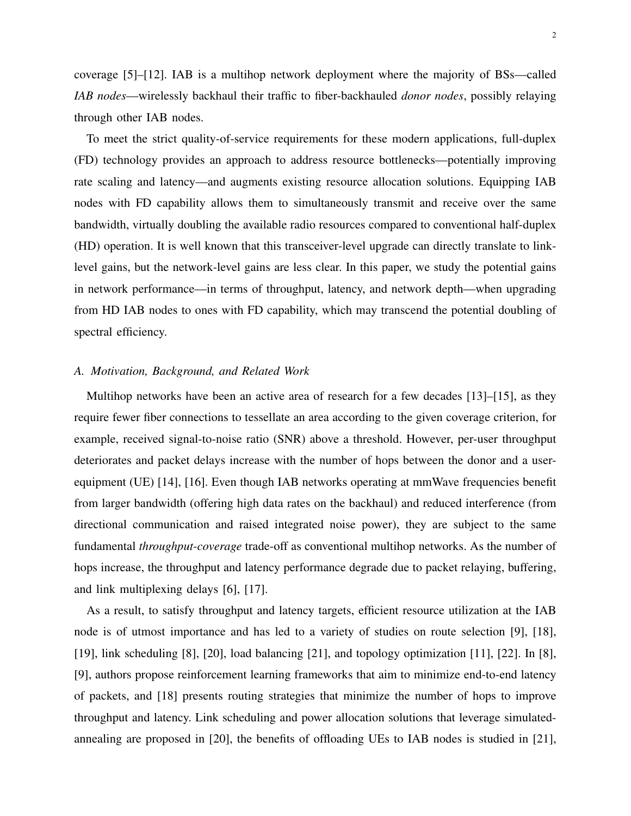coverage [5]–[12]. IAB is a multihop network deployment where the majority of BSs—called *IAB nodes*—wirelessly backhaul their traffic to fiber-backhauled *donor nodes*, possibly relaying through other IAB nodes.

To meet the strict quality-of-service requirements for these modern applications, full-duplex (FD) technology provides an approach to address resource bottlenecks—potentially improving rate scaling and latency—and augments existing resource allocation solutions. Equipping IAB nodes with FD capability allows them to simultaneously transmit and receive over the same bandwidth, virtually doubling the available radio resources compared to conventional half-duplex (HD) operation. It is well known that this transceiver-level upgrade can directly translate to linklevel gains, but the network-level gains are less clear. In this paper, we study the potential gains in network performance—in terms of throughput, latency, and network depth—when upgrading from HD IAB nodes to ones with FD capability, which may transcend the potential doubling of spectral efficiency.

## *A. Motivation, Background, and Related Work*

Multihop networks have been an active area of research for a few decades [13]–[15], as they require fewer fiber connections to tessellate an area according to the given coverage criterion, for example, received signal-to-noise ratio (SNR) above a threshold. However, per-user throughput deteriorates and packet delays increase with the number of hops between the donor and a userequipment (UE) [14], [16]. Even though IAB networks operating at mmWave frequencies benefit from larger bandwidth (offering high data rates on the backhaul) and reduced interference (from directional communication and raised integrated noise power), they are subject to the same fundamental *throughput-coverage* trade-off as conventional multihop networks. As the number of hops increase, the throughput and latency performance degrade due to packet relaying, buffering, and link multiplexing delays [6], [17].

As a result, to satisfy throughput and latency targets, efficient resource utilization at the IAB node is of utmost importance and has led to a variety of studies on route selection [9], [18], [19], link scheduling [8], [20], load balancing [21], and topology optimization [11], [22]. In [8], [9], authors propose reinforcement learning frameworks that aim to minimize end-to-end latency of packets, and [18] presents routing strategies that minimize the number of hops to improve throughput and latency. Link scheduling and power allocation solutions that leverage simulatedannealing are proposed in [20], the benefits of offloading UEs to IAB nodes is studied in [21],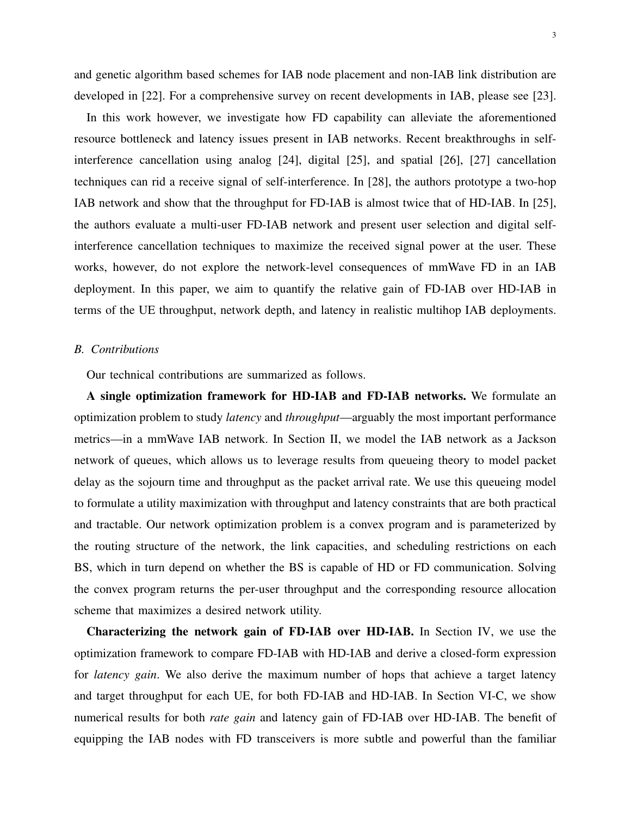and genetic algorithm based schemes for IAB node placement and non-IAB link distribution are developed in [22]. For a comprehensive survey on recent developments in IAB, please see [23].

In this work however, we investigate how FD capability can alleviate the aforementioned resource bottleneck and latency issues present in IAB networks. Recent breakthroughs in selfinterference cancellation using analog [24], digital [25], and spatial [26], [27] cancellation techniques can rid a receive signal of self-interference. In [28], the authors prototype a two-hop IAB network and show that the throughput for FD-IAB is almost twice that of HD-IAB. In [25], the authors evaluate a multi-user FD-IAB network and present user selection and digital selfinterference cancellation techniques to maximize the received signal power at the user. These works, however, do not explore the network-level consequences of mmWave FD in an IAB deployment. In this paper, we aim to quantify the relative gain of FD-IAB over HD-IAB in terms of the UE throughput, network depth, and latency in realistic multihop IAB deployments.

## *B. Contributions*

Our technical contributions are summarized as follows.

A single optimization framework for HD-IAB and FD-IAB networks. We formulate an optimization problem to study *latency* and *throughput*—arguably the most important performance metrics—in a mmWave IAB network. In Section II, we model the IAB network as a Jackson network of queues, which allows us to leverage results from queueing theory to model packet delay as the sojourn time and throughput as the packet arrival rate. We use this queueing model to formulate a utility maximization with throughput and latency constraints that are both practical and tractable. Our network optimization problem is a convex program and is parameterized by the routing structure of the network, the link capacities, and scheduling restrictions on each BS, which in turn depend on whether the BS is capable of HD or FD communication. Solving the convex program returns the per-user throughput and the corresponding resource allocation scheme that maximizes a desired network utility.

Characterizing the network gain of FD-IAB over HD-IAB. In Section IV, we use the optimization framework to compare FD-IAB with HD-IAB and derive a closed-form expression for *latency gain*. We also derive the maximum number of hops that achieve a target latency and target throughput for each UE, for both FD-IAB and HD-IAB. In Section VI-C, we show numerical results for both *rate gain* and latency gain of FD-IAB over HD-IAB. The benefit of equipping the IAB nodes with FD transceivers is more subtle and powerful than the familiar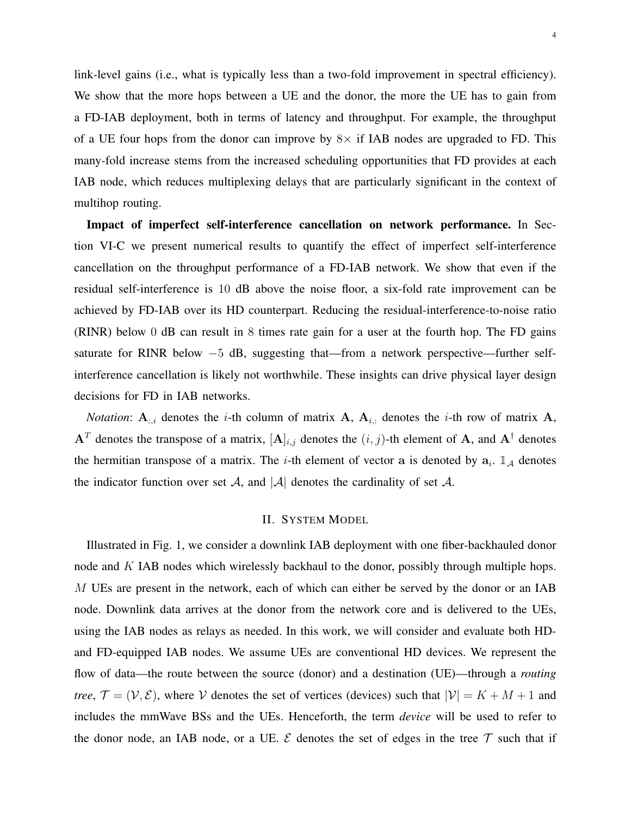link-level gains (i.e., what is typically less than a two-fold improvement in spectral efficiency). We show that the more hops between a UE and the donor, the more the UE has to gain from a FD-IAB deployment, both in terms of latency and throughput. For example, the throughput of a UE four hops from the donor can improve by  $8 \times$  if IAB nodes are upgraded to FD. This many-fold increase stems from the increased scheduling opportunities that FD provides at each IAB node, which reduces multiplexing delays that are particularly significant in the context of multihop routing.

Impact of imperfect self-interference cancellation on network performance. In Section VI-C we present numerical results to quantify the effect of imperfect self-interference cancellation on the throughput performance of a FD-IAB network. We show that even if the residual self-interference is 10 dB above the noise floor, a six-fold rate improvement can be achieved by FD-IAB over its HD counterpart. Reducing the residual-interference-to-noise ratio (RINR) below 0 dB can result in 8 times rate gain for a user at the fourth hop. The FD gains saturate for RINR below −5 dB, suggesting that—from a network perspective—further selfinterference cancellation is likely not worthwhile. These insights can drive physical layer design decisions for FD in IAB networks.

*Notation*:  $A_{:,i}$  denotes the *i*-th column of matrix A,  $A_{i,:}$  denotes the *i*-th row of matrix A,  $A<sup>T</sup>$  denotes the transpose of a matrix,  $[A]_{i,j}$  denotes the  $(i, j)$ -th element of A, and  $A<sup>\dagger</sup>$  denotes the hermitian transpose of a matrix. The *i*-th element of vector a is denoted by  $a_i$ .  $\mathbb{1}_A$  denotes the indicator function over set A, and |A| denotes the cardinality of set A.

#### II. SYSTEM MODEL

Illustrated in Fig. 1, we consider a downlink IAB deployment with one fiber-backhauled donor node and K IAB nodes which wirelessly backhaul to the donor, possibly through multiple hops. M UEs are present in the network, each of which can either be served by the donor or an IAB node. Downlink data arrives at the donor from the network core and is delivered to the UEs, using the IAB nodes as relays as needed. In this work, we will consider and evaluate both HDand FD-equipped IAB nodes. We assume UEs are conventional HD devices. We represent the flow of data—the route between the source (donor) and a destination (UE)—through a *routing tree*,  $\mathcal{T} = (\mathcal{V}, \mathcal{E})$ , where V denotes the set of vertices (devices) such that  $|\mathcal{V}| = K + M + 1$  and includes the mmWave BSs and the UEs. Henceforth, the term *device* will be used to refer to the donor node, an IAB node, or a UE.  $\mathcal E$  denotes the set of edges in the tree  $\mathcal T$  such that if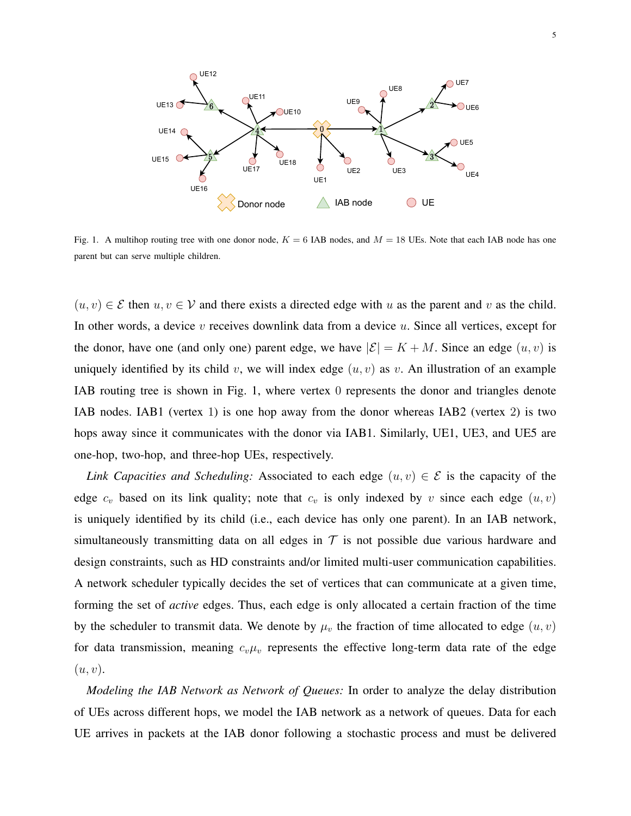

Fig. 1. A multihop routing tree with one donor node,  $K = 6$  IAB nodes, and  $M = 18$  UEs. Note that each IAB node has one parent but can serve multiple children.

 $(u, v) \in \mathcal{E}$  then  $u, v \in \mathcal{V}$  and there exists a directed edge with u as the parent and v as the child. In other words, a device  $v$  receives downlink data from a device  $u$ . Since all vertices, except for the donor, have one (and only one) parent edge, we have  $|\mathcal{E}| = K + M$ . Since an edge  $(u, v)$  is uniquely identified by its child v, we will index edge  $(u, v)$  as v. An illustration of an example IAB routing tree is shown in Fig. 1, where vertex 0 represents the donor and triangles denote IAB nodes. IAB1 (vertex 1) is one hop away from the donor whereas IAB2 (vertex 2) is two hops away since it communicates with the donor via IAB1. Similarly, UE1, UE3, and UE5 are one-hop, two-hop, and three-hop UEs, respectively.

*Link Capacities and Scheduling:* Associated to each edge  $(u, v) \in \mathcal{E}$  is the capacity of the edge  $c_v$  based on its link quality; note that  $c_v$  is only indexed by v since each edge  $(u, v)$ is uniquely identified by its child (i.e., each device has only one parent). In an IAB network, simultaneously transmitting data on all edges in  $\tau$  is not possible due various hardware and design constraints, such as HD constraints and/or limited multi-user communication capabilities. A network scheduler typically decides the set of vertices that can communicate at a given time, forming the set of *active* edges. Thus, each edge is only allocated a certain fraction of the time by the scheduler to transmit data. We denote by  $\mu_v$  the fraction of time allocated to edge  $(u, v)$ for data transmission, meaning  $c_v\mu_v$  represents the effective long-term data rate of the edge  $(u, v)$ .

*Modeling the IAB Network as Network of Queues:* In order to analyze the delay distribution of UEs across different hops, we model the IAB network as a network of queues. Data for each UE arrives in packets at the IAB donor following a stochastic process and must be delivered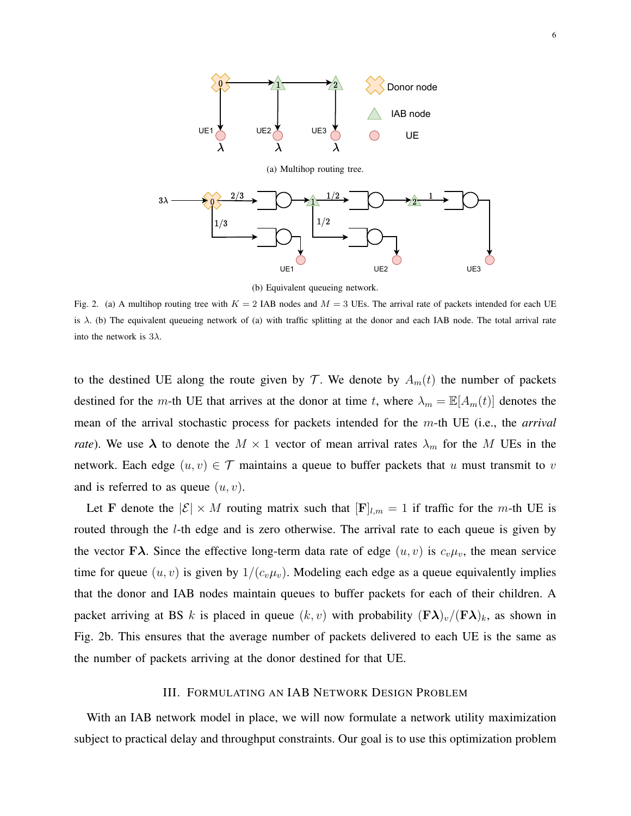

(b) Equivalent queueing network.

Fig. 2. (a) A multihop routing tree with  $K = 2$  IAB nodes and  $M = 3$  UEs. The arrival rate of packets intended for each UE is  $\lambda$ . (b) The equivalent queueing network of (a) with traffic splitting at the donor and each IAB node. The total arrival rate into the network is  $3\lambda$ .

to the destined UE along the route given by T. We denote by  $A_m(t)$  the number of packets destined for the m-th UE that arrives at the donor at time t, where  $\lambda_m = \mathbb{E}[A_m(t)]$  denotes the mean of the arrival stochastic process for packets intended for the m-th UE (i.e., the *arrival rate*). We use  $\lambda$  to denote the  $M \times 1$  vector of mean arrival rates  $\lambda_m$  for the M UEs in the network. Each edge  $(u, v) \in \mathcal{T}$  maintains a queue to buffer packets that u must transmit to v and is referred to as queue  $(u, v)$ .

Let F denote the  $|\mathcal{E}| \times M$  routing matrix such that  $[F]_{l,m} = 1$  if traffic for the m-th UE is routed through the l-th edge and is zero otherwise. The arrival rate to each queue is given by the vector F $\lambda$ . Since the effective long-term data rate of edge  $(u, v)$  is  $c_v \mu_v$ , the mean service time for queue  $(u, v)$  is given by  $1/(c_v\mu_v)$ . Modeling each edge as a queue equivalently implies that the donor and IAB nodes maintain queues to buffer packets for each of their children. A packet arriving at BS k is placed in queue  $(k, v)$  with probability  $(\mathbf{F}\lambda)_v/(\mathbf{F}\lambda)_k$ , as shown in Fig. 2b. This ensures that the average number of packets delivered to each UE is the same as the number of packets arriving at the donor destined for that UE.

## III. FORMULATING AN IAB NETWORK DESIGN PROBLEM

With an IAB network model in place, we will now formulate a network utility maximization subject to practical delay and throughput constraints. Our goal is to use this optimization problem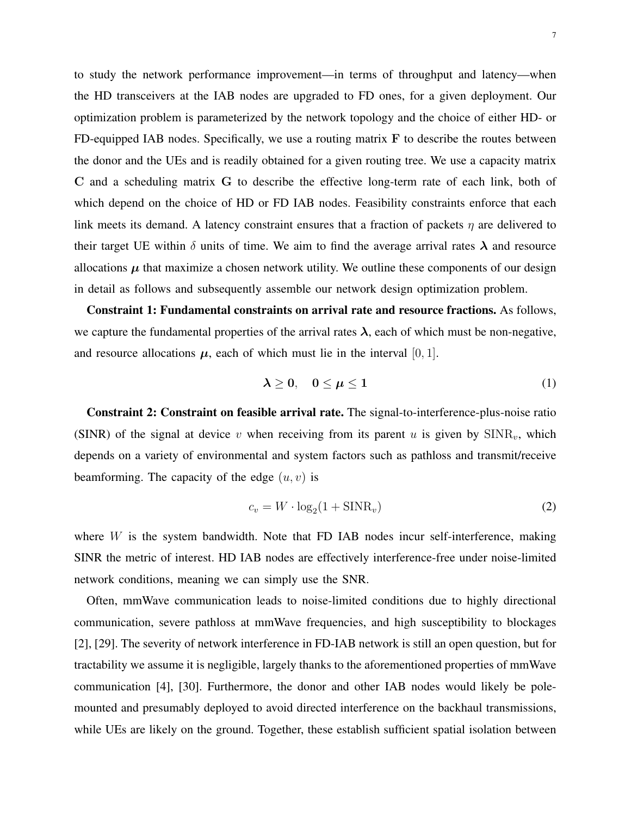to study the network performance improvement—in terms of throughput and latency—when the HD transceivers at the IAB nodes are upgraded to FD ones, for a given deployment. Our optimization problem is parameterized by the network topology and the choice of either HD- or FD-equipped IAB nodes. Specifically, we use a routing matrix  $F$  to describe the routes between the donor and the UEs and is readily obtained for a given routing tree. We use a capacity matrix C and a scheduling matrix G to describe the effective long-term rate of each link, both of which depend on the choice of HD or FD IAB nodes. Feasibility constraints enforce that each link meets its demand. A latency constraint ensures that a fraction of packets  $\eta$  are delivered to their target UE within  $\delta$  units of time. We aim to find the average arrival rates  $\lambda$  and resource allocations  $\mu$  that maximize a chosen network utility. We outline these components of our design in detail as follows and subsequently assemble our network design optimization problem.

Constraint 1: Fundamental constraints on arrival rate and resource fractions. As follows, we capture the fundamental properties of the arrival rates  $\lambda$ , each of which must be non-negative, and resource allocations  $\mu$ , each of which must lie in the interval [0, 1].

$$
\lambda \geq 0, \quad 0 \leq \mu \leq 1 \tag{1}
$$

Constraint 2: Constraint on feasible arrival rate. The signal-to-interference-plus-noise ratio (SINR) of the signal at device v when receiving from its parent u is given by  $SINR_v$ , which depends on a variety of environmental and system factors such as pathloss and transmit/receive beamforming. The capacity of the edge  $(u, v)$  is

$$
c_v = W \cdot \log_2(1 + \text{SINR}_v) \tag{2}
$$

where  $W$  is the system bandwidth. Note that FD IAB nodes incur self-interference, making SINR the metric of interest. HD IAB nodes are effectively interference-free under noise-limited network conditions, meaning we can simply use the SNR.

Often, mmWave communication leads to noise-limited conditions due to highly directional communication, severe pathloss at mmWave frequencies, and high susceptibility to blockages [2], [29]. The severity of network interference in FD-IAB network is still an open question, but for tractability we assume it is negligible, largely thanks to the aforementioned properties of mmWave communication [4], [30]. Furthermore, the donor and other IAB nodes would likely be polemounted and presumably deployed to avoid directed interference on the backhaul transmissions, while UEs are likely on the ground. Together, these establish sufficient spatial isolation between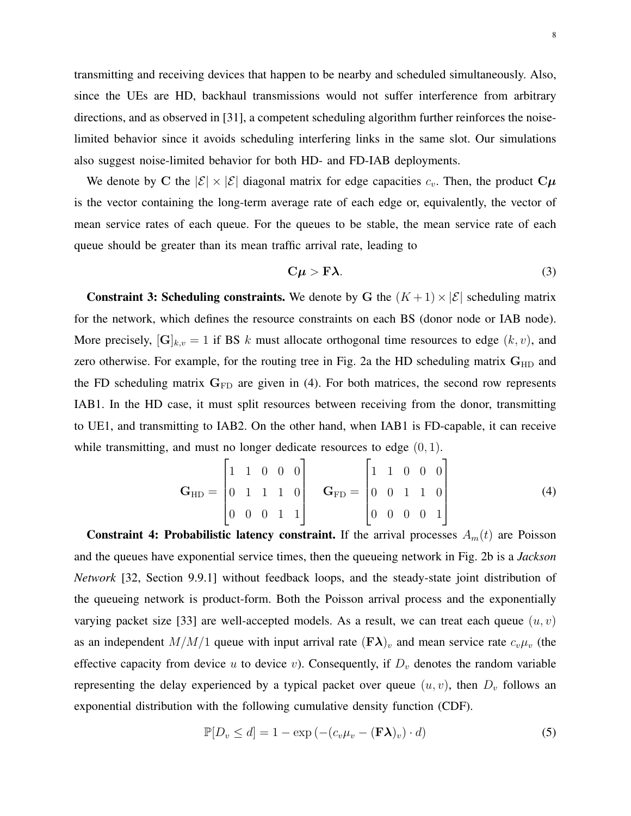transmitting and receiving devices that happen to be nearby and scheduled simultaneously. Also, since the UEs are HD, backhaul transmissions would not suffer interference from arbitrary directions, and as observed in [31], a competent scheduling algorithm further reinforces the noiselimited behavior since it avoids scheduling interfering links in the same slot. Our simulations also suggest noise-limited behavior for both HD- and FD-IAB deployments.

We denote by C the  $|\mathcal{E}| \times |\mathcal{E}|$  diagonal matrix for edge capacities  $c_v$ . Then, the product  $C\mu$ is the vector containing the long-term average rate of each edge or, equivalently, the vector of mean service rates of each queue. For the queues to be stable, the mean service rate of each queue should be greater than its mean traffic arrival rate, leading to

$$
C\mu > F\lambda. \tag{3}
$$

**Constraint 3: Scheduling constraints.** We denote by G the  $(K + 1) \times |\mathcal{E}|$  scheduling matrix for the network, which defines the resource constraints on each BS (donor node or IAB node). More precisely,  $[\mathbf{G}]_{k,v} = 1$  if BS k must allocate orthogonal time resources to edge  $(k, v)$ , and zero otherwise. For example, for the routing tree in Fig. 2a the HD scheduling matrix  $G_{HD}$  and the FD scheduling matrix  $G_{FD}$  are given in (4). For both matrices, the second row represents IAB1. In the HD case, it must split resources between receiving from the donor, transmitting to UE1, and transmitting to IAB2. On the other hand, when IAB1 is FD-capable, it can receive while transmitting, and must no longer dedicate resources to edge  $(0, 1)$ .

$$
\mathbf{G}_{HD} = \begin{bmatrix} 1 & 1 & 0 & 0 & 0 \\ 0 & 1 & 1 & 1 & 0 \\ 0 & 0 & 0 & 1 & 1 \end{bmatrix} \quad \mathbf{G}_{FD} = \begin{bmatrix} 1 & 1 & 0 & 0 & 0 \\ 0 & 0 & 1 & 1 & 0 \\ 0 & 0 & 0 & 0 & 1 \end{bmatrix}
$$
 (4)

Constraint 4: Probabilistic latency constraint. If the arrival processes  $A_m(t)$  are Poisson and the queues have exponential service times, then the queueing network in Fig. 2b is a *Jackson Network* [32, Section 9.9.1] without feedback loops, and the steady-state joint distribution of the queueing network is product-form. Both the Poisson arrival process and the exponentially varying packet size [33] are well-accepted models. As a result, we can treat each queue  $(u, v)$ as an independent  $M/M/1$  queue with input arrival rate  $(F\lambda)_v$  and mean service rate  $c_v\mu_v$  (the effective capacity from device u to device v). Consequently, if  $D<sub>v</sub>$  denotes the random variable representing the delay experienced by a typical packet over queue  $(u, v)$ , then  $D_v$  follows an exponential distribution with the following cumulative density function (CDF).

$$
\mathbb{P}[D_v \le d] = 1 - \exp(-(c_v \mu_v - (\mathbf{F}\boldsymbol{\lambda})_v) \cdot d) \tag{5}
$$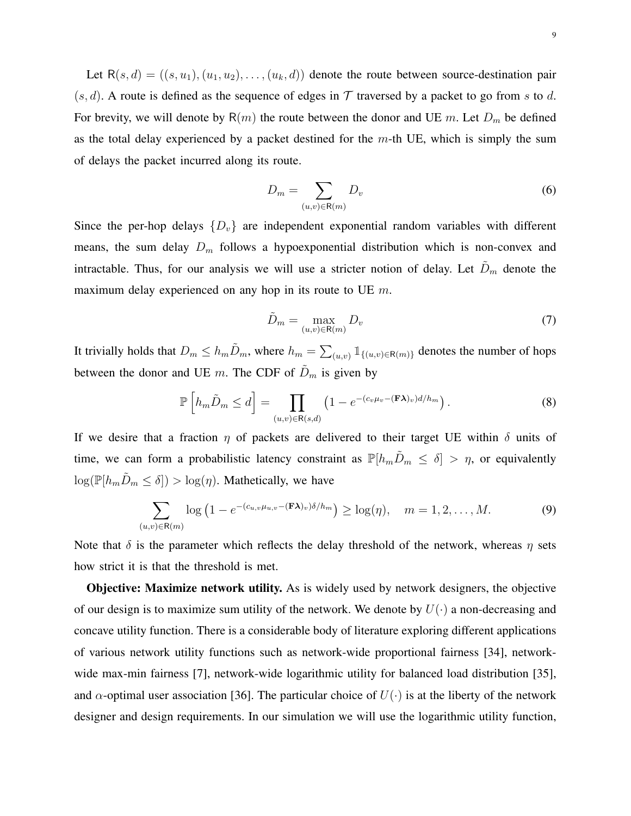Let  $R(s, d) = ((s, u_1), (u_1, u_2), \dots, (u_k, d))$  denote the route between source-destination pair  $(s, d)$ . A route is defined as the sequence of edges in T traversed by a packet to go from s to d. For brevity, we will denote by  $R(m)$  the route between the donor and UE m. Let  $D_m$  be defined as the total delay experienced by a packet destined for the  $m$ -th UE, which is simply the sum of delays the packet incurred along its route.

$$
D_m = \sum_{(u,v)\in\mathsf{R}(m)} D_v \tag{6}
$$

Since the per-hop delays  $\{D_v\}$  are independent exponential random variables with different means, the sum delay  $D_m$  follows a hypoexponential distribution which is non-convex and intractable. Thus, for our analysis we will use a stricter notion of delay. Let  $\tilde{D}_m$  denote the maximum delay experienced on any hop in its route to UE  $m$ .

$$
\tilde{D}_m = \max_{(u,v)\in\mathsf{R}(m)} D_v \tag{7}
$$

It trivially holds that  $D_m \le h_m \tilde{D}_m$ , where  $h_m = \sum_{(u,v)} 1_{\{(u,v)\in R(m)\}}$  denotes the number of hops between the donor and UE m. The CDF of  $\tilde{D}_m$  is given by

$$
\mathbb{P}\left[h_m\tilde{D}_m \leq d\right] = \prod_{(u,v)\in\mathsf{R}(s,d)} \left(1 - e^{-(c_v\mu_v - (\mathbf{F}\lambda)_v)d/h_m}\right). \tag{8}
$$

If we desire that a fraction  $\eta$  of packets are delivered to their target UE within  $\delta$  units of time, we can form a probabilistic latency constraint as  $\mathbb{P}[h_m\tilde{D}_m \leq \delta] > \eta$ , or equivalently  $\log(\mathbb{P}[h_m\tilde{D}_m \leq \delta]) > \log(\eta)$ . Mathetically, we have

$$
\sum_{(u,v)\in\mathsf{R}(m)}\log\left(1-e^{-(c_{u,v}\mu_{u,v}-(\mathbf{F}\boldsymbol{\lambda})_v)\delta/h_m}\right)\geq \log(\eta), \quad m=1,2,\ldots,M.
$$
 (9)

Note that  $\delta$  is the parameter which reflects the delay threshold of the network, whereas  $\eta$  sets how strict it is that the threshold is met.

**Objective: Maximize network utility.** As is widely used by network designers, the objective of our design is to maximize sum utility of the network. We denote by  $U(\cdot)$  a non-decreasing and concave utility function. There is a considerable body of literature exploring different applications of various network utility functions such as network-wide proportional fairness [34], networkwide max-min fairness [7], network-wide logarithmic utility for balanced load distribution [35], and  $\alpha$ -optimal user association [36]. The particular choice of  $U(\cdot)$  is at the liberty of the network designer and design requirements. In our simulation we will use the logarithmic utility function,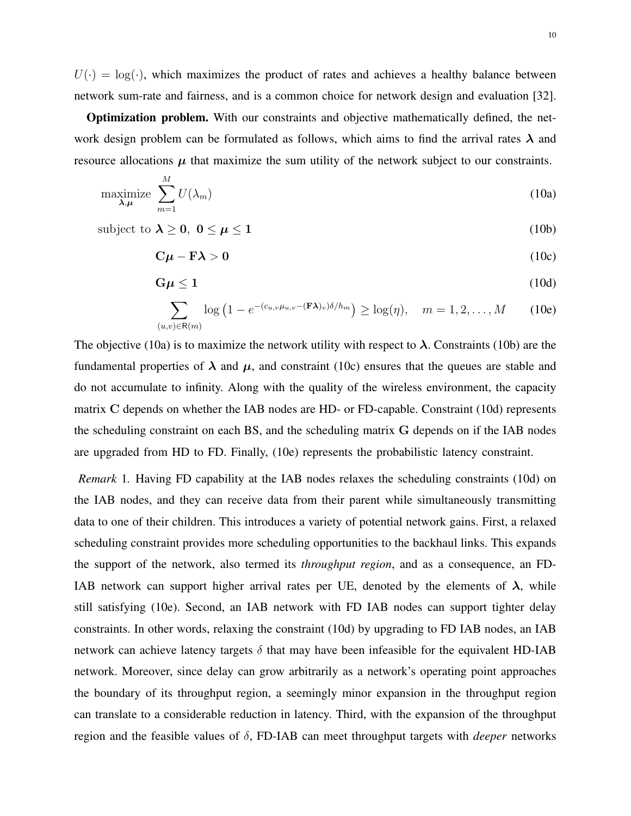$U(\cdot) = \log(\cdot)$ , which maximizes the product of rates and achieves a healthy balance between network sum-rate and fairness, and is a common choice for network design and evaluation [32].

Optimization problem. With our constraints and objective mathematically defined, the network design problem can be formulated as follows, which aims to find the arrival rates  $\lambda$  and resource allocations  $\mu$  that maximize the sum utility of the network subject to our constraints.

$$
\underset{\lambda,\mu}{\text{maximize}} \sum_{m=1}^{M} U(\lambda_m) \tag{10a}
$$

subject to  $\lambda \geq 0$ ,  $0 \leq \mu \leq 1$  (10b)

$$
C\mu - F\lambda > 0 \tag{10c}
$$

$$
G\mu \le 1\tag{10d}
$$

$$
\sum_{(u,v)\in\mathsf{R}(m)}\log\left(1-e^{-(c_{u,v}\mu_{u,v}-(\mathbf{F}\boldsymbol{\lambda})_v)\delta/h_m}\right)\geq \log(\eta), \quad m=1,2,\ldots,M\qquad(10e)
$$

The objective (10a) is to maximize the network utility with respect to  $\lambda$ . Constraints (10b) are the fundamental properties of  $\lambda$  and  $\mu$ , and constraint (10c) ensures that the queues are stable and do not accumulate to infinity. Along with the quality of the wireless environment, the capacity matrix C depends on whether the IAB nodes are HD- or FD-capable. Constraint (10d) represents the scheduling constraint on each BS, and the scheduling matrix G depends on if the IAB nodes are upgraded from HD to FD. Finally, (10e) represents the probabilistic latency constraint.

*Remark* 1*.* Having FD capability at the IAB nodes relaxes the scheduling constraints (10d) on the IAB nodes, and they can receive data from their parent while simultaneously transmitting data to one of their children. This introduces a variety of potential network gains. First, a relaxed scheduling constraint provides more scheduling opportunities to the backhaul links. This expands the support of the network, also termed its *throughput region*, and as a consequence, an FD-IAB network can support higher arrival rates per UE, denoted by the elements of  $\lambda$ , while still satisfying (10e). Second, an IAB network with FD IAB nodes can support tighter delay constraints. In other words, relaxing the constraint (10d) by upgrading to FD IAB nodes, an IAB network can achieve latency targets  $\delta$  that may have been infeasible for the equivalent HD-IAB network. Moreover, since delay can grow arbitrarily as a network's operating point approaches the boundary of its throughput region, a seemingly minor expansion in the throughput region can translate to a considerable reduction in latency. Third, with the expansion of the throughput region and the feasible values of δ, FD-IAB can meet throughput targets with *deeper* networks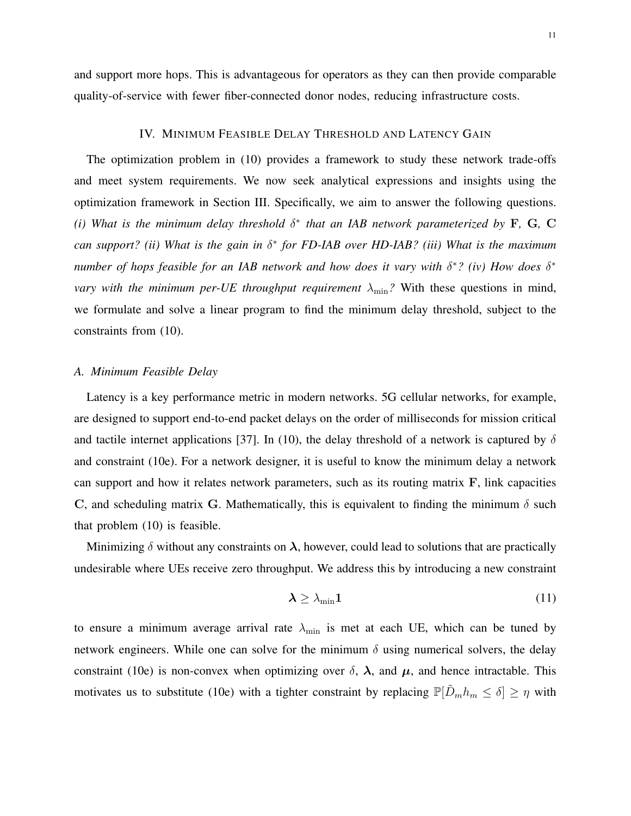and support more hops. This is advantageous for operators as they can then provide comparable quality-of-service with fewer fiber-connected donor nodes, reducing infrastructure costs.

## IV. MINIMUM FEASIBLE DELAY THRESHOLD AND LATENCY GAIN

The optimization problem in (10) provides a framework to study these network trade-offs and meet system requirements. We now seek analytical expressions and insights using the optimization framework in Section III. Specifically, we aim to answer the following questions. (*i*) What is the minimum delay threshold  $\delta^*$  that an IAB network parameterized by F, G, C *can support? (ii) What is the gain in* δ ∗ *for FD-IAB over HD-IAB? (iii) What is the maximum number of hops feasible for an IAB network and how does it vary with* δ<sup>\*</sup>? (*iv*) *How does* δ<sup>\*</sup> *vary with the minimum per-UE throughput requirement*  $\lambda_{\min}$ ? With these questions in mind, we formulate and solve a linear program to find the minimum delay threshold, subject to the constraints from (10).

## *A. Minimum Feasible Delay*

Latency is a key performance metric in modern networks. 5G cellular networks, for example, are designed to support end-to-end packet delays on the order of milliseconds for mission critical and tactile internet applications [37]. In (10), the delay threshold of a network is captured by  $\delta$ and constraint (10e). For a network designer, it is useful to know the minimum delay a network can support and how it relates network parameters, such as its routing matrix F, link capacities C, and scheduling matrix G. Mathematically, this is equivalent to finding the minimum  $\delta$  such that problem (10) is feasible.

Minimizing  $\delta$  without any constraints on  $\lambda$ , however, could lead to solutions that are practically undesirable where UEs receive zero throughput. We address this by introducing a new constraint

$$
\lambda \geq \lambda_{\min} 1 \tag{11}
$$

to ensure a minimum average arrival rate  $\lambda_{\min}$  is met at each UE, which can be tuned by network engineers. While one can solve for the minimum  $\delta$  using numerical solvers, the delay constraint (10e) is non-convex when optimizing over  $\delta$ ,  $\lambda$ , and  $\mu$ , and hence intractable. This motivates us to substitute (10e) with a tighter constraint by replacing  $\mathbb{P}[\tilde{D}_m h_m \leq \delta] \geq \eta$  with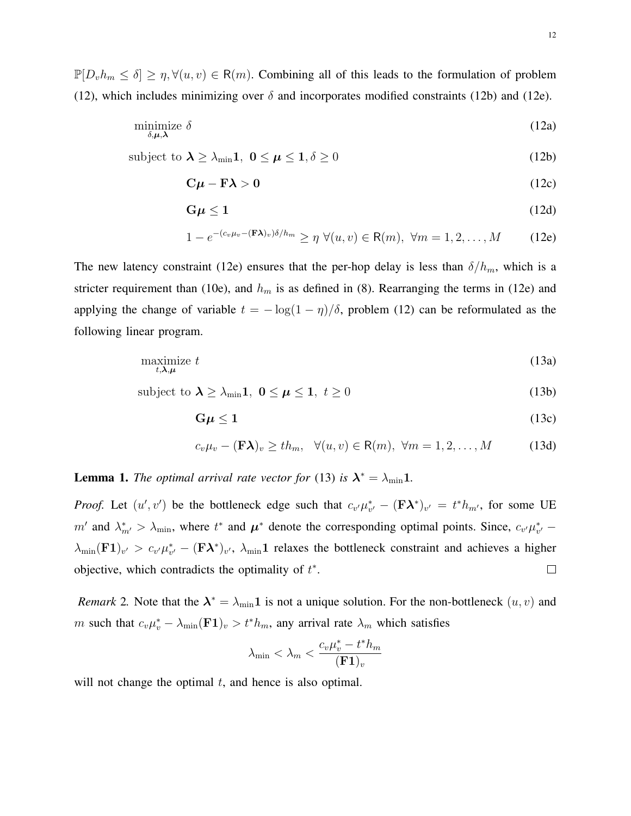$\mathbb{P}[D_v h_m \leq \delta] \geq \eta, \forall (u, v) \in \mathsf{R}(m)$ . Combining all of this leads to the formulation of problem (12), which includes minimizing over  $\delta$  and incorporates modified constraints (12b) and (12e).

$$
\underset{\delta,\mu,\lambda}{\text{minimize}} \delta \tag{12a}
$$

subject to  $\lambda \ge \lambda_{\min} 1$ ,  $0 \le \mu \le 1, \delta \ge 0$  (12b)

$$
C\mu - F\lambda > 0 \tag{12c}
$$

$$
G\mu \le 1\tag{12d}
$$

$$
1 - e^{-(c_v \mu_v - (\mathbf{F} \lambda)_v)\delta/h_m} \ge \eta \ \forall (u, v) \in \mathsf{R}(m), \ \forall m = 1, 2, \dots, M \tag{12e}
$$

The new latency constraint (12e) ensures that the per-hop delay is less than  $\delta/h_m$ , which is a stricter requirement than (10e), and  $h_m$  is as defined in (8). Rearranging the terms in (12e) and applying the change of variable  $t = -\log(1 - \eta)/\delta$ , problem (12) can be reformulated as the following linear program.

$$
\underset{t,\lambda,\mu}{\text{maximize}}\ t\tag{13a}
$$

subject to  $\lambda \ge \lambda_{\min} 1$ ,  $0 \le \mu \le 1$ ,  $t \ge 0$  (13b)

$$
G\mu \le 1\tag{13c}
$$

$$
c_v \mu_v - (\mathbf{F} \lambda)_v \geq th_m, \quad \forall (u, v) \in \mathsf{R}(m), \ \forall m = 1, 2, \dots, M \tag{13d}
$$

**Lemma 1.** *The optimal arrival rate vector for* (13) *is*  $\lambda^* = \lambda_{\min} 1$ .

*Proof.* Let  $(u', v')$  be the bottleneck edge such that  $c_{v'} \mu_{v'}^* - (\mathbf{F} \lambda^*)_{v'} = t^* h_{m'}$ , for some UE m' and  $\lambda_{m'}^* > \lambda_{\min}$ , where  $t^*$  and  $\mu^*$  denote the corresponding optimal points. Since,  $c_{v'}\mu_{v'}^*$  –  $\lambda_{\min}(\mathbf{F1})_{v'} > c_{v'} \mu_{v'}^* - (\mathbf{F\lambda}^*)_{v'}, \lambda_{\min} \mathbf{1}$  relaxes the bottleneck constraint and achieves a higher objective, which contradicts the optimality of  $t^*$ .  $\Box$ 

*Remark* 2. Note that the  $\lambda^* = \lambda_{\min} 1$  is not a unique solution. For the non-bottleneck  $(u, v)$  and m such that  $c_v\mu_v^* - \lambda_{\min}(\mathbf{F1})_v > t^*h_m$ , any arrival rate  $\lambda_m$  which satisfies

$$
\lambda_{\min} < \lambda_m < \frac{c_v \mu_v^* - t^* h_m}{(\mathbf{F1})_v}
$$

will not change the optimal  $t$ , and hence is also optimal.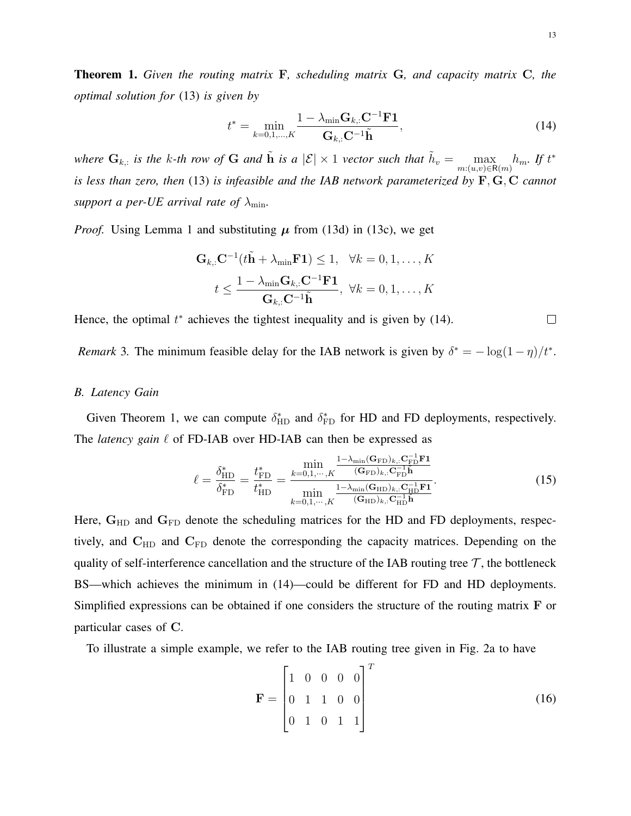Theorem 1. *Given the routing matrix* F*, scheduling matrix* G*, and capacity matrix* C*, the optimal solution for* (13) *is given by*

$$
t^* = \min_{k=0,1,\dots,K} \frac{1 - \lambda_{\min} \mathbf{G}_{k,:} \mathbf{C}^{-1} \mathbf{F} \mathbf{1}}{\mathbf{G}_{k,:} \mathbf{C}^{-1} \tilde{\mathbf{h}}},\tag{14}
$$

where  $G_{k,:}$  is the k-th row of G and  $\tilde{h}$  is a  $|\mathcal{E}| \times 1$  vector such that  $\tilde{h}_v = \max_{m:(u,v)\in R(m)} h_m$ . If  $t^*$ *is less than zero, then* (13) *is infeasible and the IAB network parameterized by* F, G, C *cannot support a per-UE arrival rate of*  $\lambda_{\min}$ .

*Proof.* Using Lemma 1 and substituting  $\mu$  from (13d) in (13c), we get

$$
\mathbf{G}_{k,:} \mathbf{C}^{-1} (t\tilde{\mathbf{h}} + \lambda_{\min} \mathbf{F} \mathbf{1}) \le 1, \quad \forall k = 0, 1, ..., K
$$

$$
t \le \frac{1 - \lambda_{\min} \mathbf{G}_{k,:} \mathbf{C}^{-1} \mathbf{F} \mathbf{1}}{\mathbf{G}_{k,:} \mathbf{C}^{-1} \tilde{\mathbf{h}}}, \quad \forall k = 0, 1, ..., K
$$

Hence, the optimal  $t^*$  achieves the tightest inequality and is given by (14).

*Remark* 3. The minimum feasible delay for the IAB network is given by  $\delta^* = -\log(1-\eta)/t^*$ .

## *B. Latency Gain*

Given Theorem 1, we can compute  $\delta_{HD}^*$  and  $\delta_{FD}^*$  for HD and FD deployments, respectively. The *latency gain*  $\ell$  of FD-IAB over HD-IAB can then be expressed as

$$
\ell = \frac{\delta_{\rm HD}^*}{\delta_{\rm FD}^*} = \frac{t_{\rm FD}^*}{t_{\rm HD}^*} = \frac{\min\limits_{k=0,1,\cdots,K} \frac{1-\lambda_{\rm min}(\mathbf{G}_{\rm FD})_{k,\cdot}\mathbf{C}_{\rm FD}^{-1}\mathbf{F1}}{(\mathbf{G}_{\rm FD})_{k,\cdot}\mathbf{C}_{\rm FD}^{-1}\mathbf{F1}}}{\min\limits_{k=0,1,\cdots,K} \frac{1-\lambda_{\rm min}(\mathbf{G}_{\rm HD})_{k,\cdot}\mathbf{C}_{\rm HD}^{-1}\mathbf{F1}}{(\mathbf{G}_{\rm HD})_{k,\cdot}\mathbf{C}_{\rm HD}^{-1}\mathbf{F1}}}.
$$
(15)

Here,  $G_{HD}$  and  $G_{FD}$  denote the scheduling matrices for the HD and FD deployments, respectively, and  $C_{HD}$  and  $C_{FD}$  denote the corresponding the capacity matrices. Depending on the quality of self-interference cancellation and the structure of the IAB routing tree  $\mathcal{T}$ , the bottleneck BS—which achieves the minimum in (14)—could be different for FD and HD deployments. Simplified expressions can be obtained if one considers the structure of the routing matrix F or particular cases of C.

To illustrate a simple example, we refer to the IAB routing tree given in Fig. 2a to have

$$
\mathbf{F} = \begin{bmatrix} 1 & 0 & 0 & 0 & 0 \\ 0 & 1 & 1 & 0 & 0 \\ 0 & 1 & 0 & 1 & 1 \end{bmatrix}^{T}
$$
(16)

 $\Box$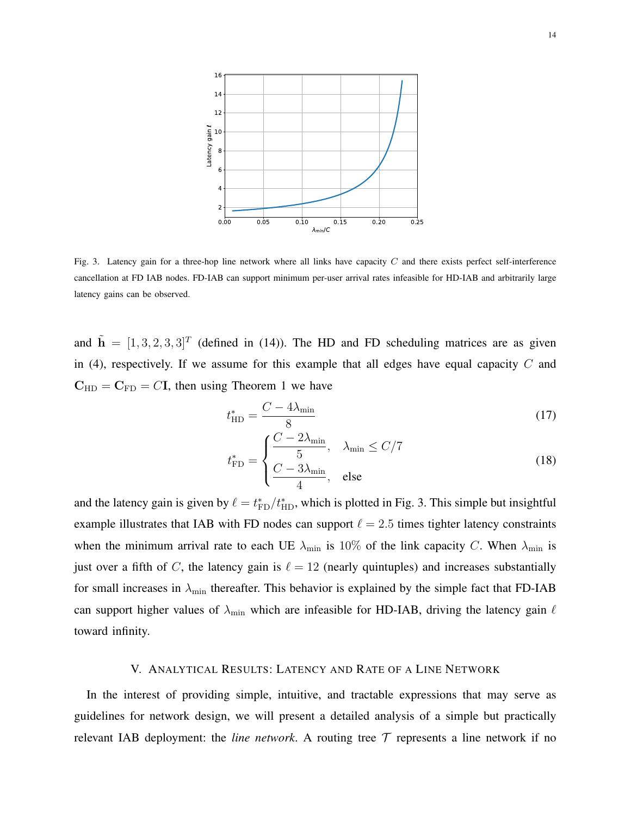

Fig. 3. Latency gain for a three-hop line network where all links have capacity  $C$  and there exists perfect self-interference cancellation at FD IAB nodes. FD-IAB can support minimum per-user arrival rates infeasible for HD-IAB and arbitrarily large latency gains can be observed.

and  $\tilde{\mathbf{h}} = [1, 3, 2, 3, 3]^T$  (defined in (14)). The HD and FD scheduling matrices are as given in (4), respectively. If we assume for this example that all edges have equal capacity  $C$  and  $C_{HD} = C_{FD} = C I$ , then using Theorem 1 we have

$$
t_{\rm HD}^* = \frac{C - 4\lambda_{\rm min}}{8} \tag{17}
$$

$$
t_{\rm FD}^* = \begin{cases} \frac{C - 2\lambda_{\rm min}}{5}, & \lambda_{\rm min} \le C/7\\ \frac{C - 3\lambda_{\rm min}}{4}, & \text{else} \end{cases}
$$
(18)

and the latency gain is given by  $\ell = t_{FD}^*/t_{HD}^*$ , which is plotted in Fig. 3. This simple but insightful example illustrates that IAB with FD nodes can support  $\ell = 2.5$  times tighter latency constraints when the minimum arrival rate to each UE  $\lambda_{\text{min}}$  is 10% of the link capacity C. When  $\lambda_{\text{min}}$  is just over a fifth of C, the latency gain is  $\ell = 12$  (nearly quintuples) and increases substantially for small increases in  $\lambda_{\min}$  thereafter. This behavior is explained by the simple fact that FD-IAB can support higher values of  $\lambda_{\min}$  which are infeasible for HD-IAB, driving the latency gain  $\ell$ toward infinity.

## V. ANALYTICAL RESULTS: LATENCY AND RATE OF A LINE NETWORK

In the interest of providing simple, intuitive, and tractable expressions that may serve as guidelines for network design, we will present a detailed analysis of a simple but practically relevant IAB deployment: the *line network*. A routing tree  $T$  represents a line network if no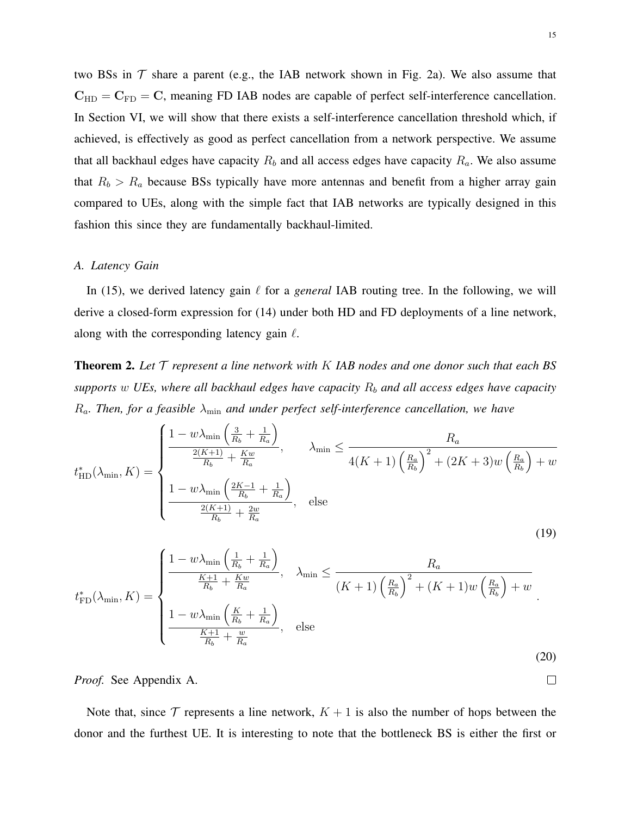two BSs in  $\mathcal T$  share a parent (e.g., the IAB network shown in Fig. 2a). We also assume that  $C_{HD} = C_{FD} = C$ , meaning FD IAB nodes are capable of perfect self-interference cancellation. In Section VI, we will show that there exists a self-interference cancellation threshold which, if achieved, is effectively as good as perfect cancellation from a network perspective. We assume that all backhaul edges have capacity  $R_b$  and all access edges have capacity  $R_a$ . We also assume that  $R_b > R_a$  because BSs typically have more antennas and benefit from a higher array gain compared to UEs, along with the simple fact that IAB networks are typically designed in this fashion this since they are fundamentally backhaul-limited.

## *A. Latency Gain*

In (15), we derived latency gain  $\ell$  for a *general* IAB routing tree. In the following, we will derive a closed-form expression for (14) under both HD and FD deployments of a line network, along with the corresponding latency gain  $\ell$ .

Theorem 2. *Let* T *represent a line network with* K *IAB nodes and one donor such that each BS*  $supports w \, UEs$ , where all backhaul edges have capacity  $R_b$  and all access edges have capacity  $R_a$ . Then, for a feasible  $\lambda_{\min}$  and under perfect self-interference cancellation, we have

$$
t_{\text{HD}}^{*}(\lambda_{\min}, K) = \begin{cases} \frac{1 - w\lambda_{\min}\left(\frac{3}{R_b} + \frac{1}{R_a}\right)}{\frac{2(K+1)}{R_b} + \frac{Kw}{R_a}}, & \lambda_{\min} \le \frac{R_a}{4(K+1)\left(\frac{R_a}{R_b}\right)^2 + (2K+3)w\left(\frac{R_a}{R_b}\right) + w} \\ \frac{1 - w\lambda_{\min}\left(\frac{2K-1}{R_b} + \frac{1}{R_a}\right)}{\frac{2(K+1)}{R_b} + \frac{2w}{R_a}}, & \text{else} \end{cases}
$$
(19)

$$
t_{\rm FD}^*(\lambda_{\rm min}, K) = \begin{cases} \frac{1 - w\lambda_{\rm min}\left(\frac{1}{R_b} + \frac{1}{R_a}\right)}{\frac{K+1}{R_b} + \frac{Kw}{R_a}}, & \lambda_{\rm min} \le \frac{R_a}{(K+1)\left(\frac{R_a}{R_b}\right)^2 + (K+1)w\left(\frac{R_a}{R_b}\right) + w} \\ \frac{1 - w\lambda_{\rm min}\left(\frac{K}{R_b} + \frac{1}{R_a}\right)}{\frac{K+1}{R_b} + \frac{w}{R_a}}, & \text{else} \end{cases}
$$
(20)

*Proof.* See Appendix A.

Note that, since  $\mathcal T$  represents a line network,  $K + 1$  is also the number of hops between the donor and the furthest UE. It is interesting to note that the bottleneck BS is either the first or

 $\Box$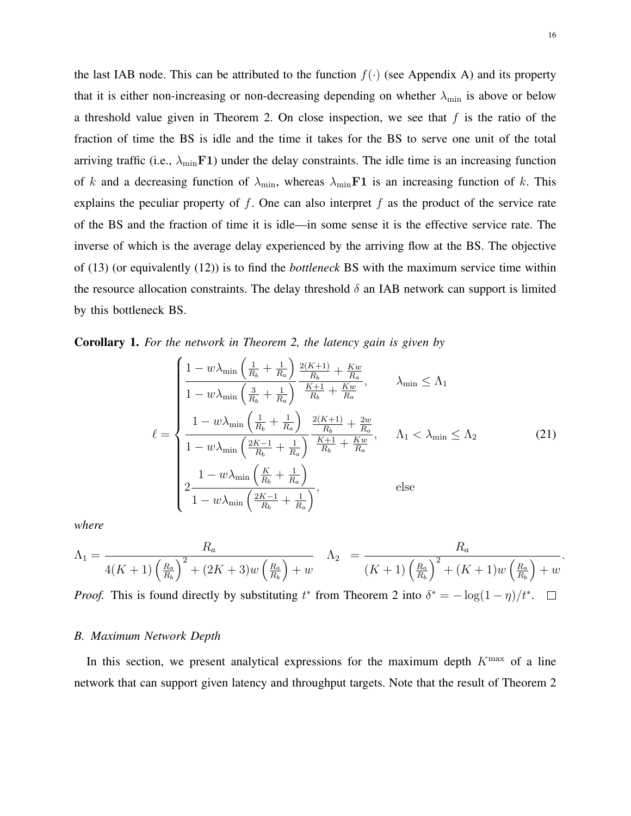the last IAB node. This can be attributed to the function  $f(\cdot)$  (see Appendix A) and its property that it is either non-increasing or non-decreasing depending on whether  $\lambda_{\min}$  is above or below a threshold value given in Theorem 2. On close inspection, we see that  $f$  is the ratio of the fraction of time the BS is idle and the time it takes for the BS to serve one unit of the total arriving traffic (i.e.,  $\lambda_{\min}F1$ ) under the delay constraints. The idle time is an increasing function of k and a decreasing function of  $\lambda_{\min}$ , whereas  $\lambda_{\min}$  F1 is an increasing function of k. This explains the peculiar property of  $f$ . One can also interpret  $f$  as the product of the service rate of the BS and the fraction of time it is idle—in some sense it is the effective service rate. The inverse of which is the average delay experienced by the arriving flow at the BS. The objective of (13) (or equivalently (12)) is to find the *bottleneck* BS with the maximum service time within the resource allocation constraints. The delay threshold  $\delta$  an IAB network can support is limited by this bottleneck BS.

Corollary 1. *For the network in Theorem 2, the latency gain is given by*

$$
\ell = \begin{cases}\n\frac{1 - w\lambda_{\min}\left(\frac{1}{R_b} + \frac{1}{R_a}\right)}{1 - w\lambda_{\min}\left(\frac{3}{R_b} + \frac{1}{R_a}\right)} \frac{\frac{2(K+1)}{R_b} + \frac{Kw}{R_a}}{\frac{K+1}{R_b} + \frac{Kw}{R_a}}, & \lambda_{\min} \le \Lambda_1 \\
\frac{1 - w\lambda_{\min}\left(\frac{1}{R_b} + \frac{1}{R_a}\right)}{1 - w\lambda_{\min}\left(\frac{2K-1}{R_b} + \frac{1}{R_a}\right)} \frac{\frac{2(K+1)}{R_b} + \frac{2w}{R_a}}{\frac{K+1}{R_b} + \frac{Kw}{R_a}}, & \Lambda_1 < \lambda_{\min} \le \Lambda_2 \\
\frac{1 - w\lambda_{\min}\left(\frac{K}{R_b} + \frac{1}{R_a}\right)}{1 - w\lambda_{\min}\left(\frac{2K-1}{R_b} + \frac{1}{R_a}\right)}, & \text{else}\n\end{cases} \tag{21}
$$

*where*

$$
\Lambda_1 = \frac{R_a}{4(K+1)\left(\frac{R_a}{R_b}\right)^2 + (2K+3)w\left(\frac{R_a}{R_b}\right) + w} \quad \Lambda_2 = \frac{R_a}{(K+1)\left(\frac{R_a}{R_b}\right)^2 + (K+1)w\left(\frac{R_a}{R_b}\right) + w}
$$

*Proof.* This is found directly by substituting  $t^*$  from Theorem 2 into  $\delta^* = -\log(1-\eta)/t^*$ .

#### *B. Maximum Network Depth*

In this section, we present analytical expressions for the maximum depth  $K<sup>max</sup>$  of a line network that can support given latency and throughput targets. Note that the result of Theorem 2

.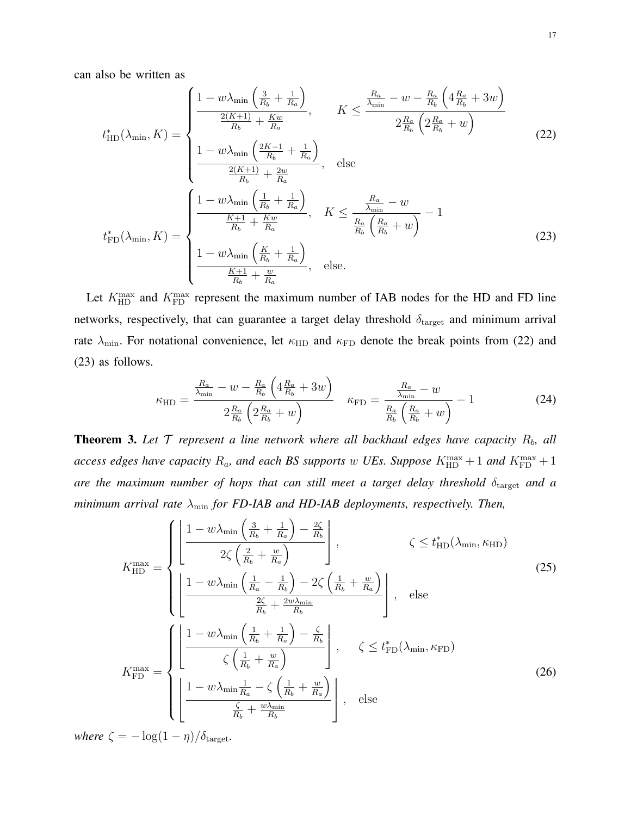can also be written as

$$
t_{\text{HD}}^{*}(\lambda_{\min}, K) = \begin{cases} \frac{1 - w\lambda_{\min}\left(\frac{3}{R_{b}} + \frac{1}{R_{a}}\right)}{\frac{2(K+1)}{R_{b}} + \frac{Kw}{R_{a}}}, & K \leq \frac{\frac{R_{a}}{\lambda_{\min}} - w - \frac{R_{a}}{R_{b}}\left(4\frac{R_{a}}{R_{b}} + 3w\right)}{2\frac{R_{a}}{R_{b}}\left(2\frac{R_{a}}{R_{b}} + w\right)} \\ \frac{1 - w\lambda_{\min}\left(\frac{2K-1}{R_{b}} + \frac{1}{R_{a}}\right)}{\frac{2(K+1)}{R_{b}} + \frac{2w}{R_{a}}}, & \text{else} \\ \frac{1 - w\lambda_{\min}\left(\frac{1}{R_{b}} + \frac{1}{R_{a}}\right)}{\frac{K+1}{R_{b}} + \frac{Kw}{R_{a}}}, & K \leq \frac{\frac{R_{a}}{\lambda_{\min}} - w}{\frac{R_{a}}{R_{b}}\left(\frac{R_{a}}{R_{b}} + w\right)} - 1 \\ t_{\text{FD}}^{*}(\lambda_{\min}, K) = \begin{cases} \frac{1 - w\lambda_{\min}\left(\frac{1}{R_{b}} + \frac{1}{R_{a}}\right)}{\frac{K+1}{R_{b}} + \frac{Kw}{R_{a}}}, & K \leq \frac{\frac{R_{a}}{\lambda_{\min}} - w}{\frac{R_{a}}{R_{b}}\left(\frac{R_{a}}{R_{b}} + w\right)} - 1 \\ \frac{1 - w\lambda_{\min}\left(\frac{K}{R_{b}} + \frac{1}{R_{a}}\right)}{\frac{K+1}{R_{b}} + \frac{w}{R_{a}}}, & \text{else.} \end{cases}
$$
(23)

Let  $K_{\text{HD}}^{\text{max}}$  and  $K_{\text{FD}}^{\text{max}}$  represent the maximum number of IAB nodes for the HD and FD line networks, respectively, that can guarantee a target delay threshold  $\delta_{\text{target}}$  and minimum arrival rate  $\lambda_{\min}$ . For notational convenience, let  $\kappa_{\text{HD}}$  and  $\kappa_{\text{FD}}$  denote the break points from (22) and (23) as follows.

$$
\kappa_{\rm HD} = \frac{\frac{R_a}{\lambda_{\rm min}} - w - \frac{R_a}{R_b} \left( 4 \frac{R_a}{R_b} + 3w \right)}{2 \frac{R_a}{R_b} \left( 2 \frac{R_a}{R_b} + w \right)} \quad \kappa_{\rm FD} = \frac{\frac{R_a}{\lambda_{\rm min}} - w}{\frac{R_a}{R_b} \left( \frac{R_a}{R_b} + w \right)} - 1 \tag{24}
$$

**Theorem 3.** Let  $T$  represent a line network where all backhaul edges have capacity  $R_b$ , all access edges have capacity  $R_a$ , and each BS supports  $w$  UEs. Suppose  $K_{\text{HD}}^{\text{max}}+1$  and  $K_{\text{FD}}^{\text{max}}+1$ *are the maximum number of hops that can still meet a target delay threshold*  $\delta_{\mathrm{target}}$  *and a minimum arrival rate*  $\lambda_{\min}$  *for FD-IAB and HD-IAB deployments, respectively. Then,* 

$$
K_{\rm HD}^{\rm max} = \begin{cases} \left[ \frac{1 - w\lambda_{\rm min} \left( \frac{3}{R_b} + \frac{1}{R_a} \right) - \frac{2\zeta}{R_b} }{2\zeta \left( \frac{2}{R_b} + \frac{w}{R_a} \right)} \right], & \zeta \le t_{\rm HD}^*(\lambda_{\rm min}, \kappa_{\rm HD})\\ \left[ \frac{1 - w\lambda_{\rm min} \left( \frac{1}{R_a} - \frac{1}{R_b} \right) - 2\zeta \left( \frac{1}{R_b} + \frac{w}{R_a} \right)}{\frac{2\zeta}{R_b} + \frac{2w\lambda_{\rm min}}{R_b}} \right], & \text{else} \end{cases}
$$
(25)  

$$
K_{\rm FD}^{\rm max} = \begin{cases} \left[ \frac{1 - w\lambda_{\rm min} \left( \frac{1}{R_b} + \frac{1}{R_a} \right) - \frac{\zeta}{R_b}}{\zeta \left( \frac{1}{R_b} + \frac{w}{R_a} \right)} \right], & \zeta \le t_{\rm FD}^*(\lambda_{\rm min}, \kappa_{\rm FD})\\ \left[ \frac{1 - w\lambda_{\rm min} \frac{1}{R_a} - \zeta \left( \frac{1}{R_b} + \frac{w}{R_a} \right)}{\frac{\zeta}{R_b} + \frac{w\lambda_{\rm min}}{R_b}} \right], & \text{else} \end{cases}
$$
(26)

*where*  $\zeta = -\log(1 - \eta)/\delta_{\text{target}}$ .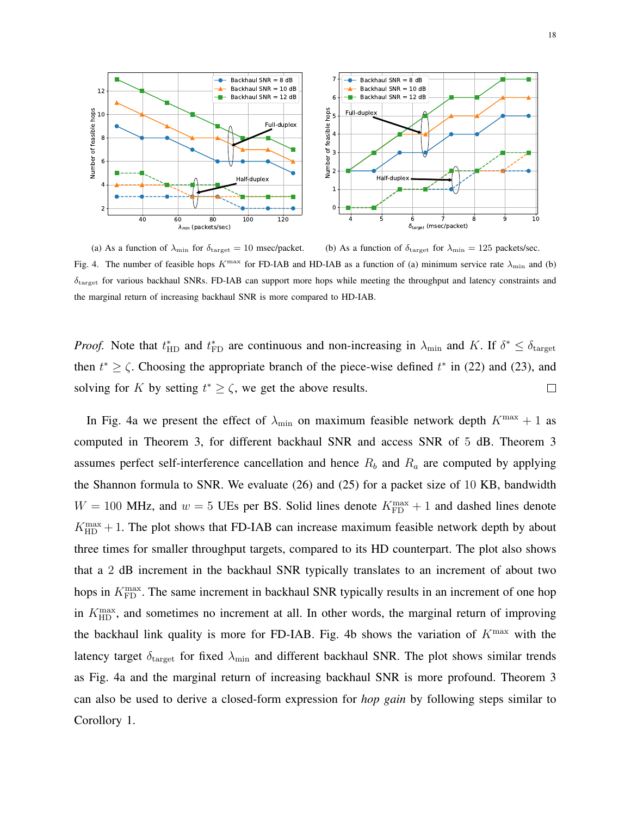

(a) As a function of  $\lambda_{\min}$  for  $\delta_{\text{target}} = 10$  msec/packet. (b) As a function of  $\delta_{\text{target}}$  for  $\lambda_{\text{min}} = 125$  packets/sec. Fig. 4. The number of feasible hops  $K^{\text{max}}$  for FD-IAB and HD-IAB as a function of (a) minimum service rate  $\lambda_{\text{min}}$  and (b)  $\delta_{\text{target}}$  for various backhaul SNRs. FD-IAB can support more hops while meeting the throughput and latency constraints and the marginal return of increasing backhaul SNR is more compared to HD-IAB.

*Proof.* Note that  $t_{HD}^*$  and  $t_{FD}^*$  are continuous and non-increasing in  $\lambda_{min}$  and K. If  $\delta^* \leq \delta_{target}$ then  $t^* \ge \zeta$ . Choosing the appropriate branch of the piece-wise defined  $t^*$  in (22) and (23), and solving for K by setting  $t^* \ge \zeta$ , we get the above results.  $\Box$ 

In Fig. 4a we present the effect of  $\lambda_{\min}$  on maximum feasible network depth  $K^{\max} + 1$  as computed in Theorem 3, for different backhaul SNR and access SNR of 5 dB. Theorem 3 assumes perfect self-interference cancellation and hence  $R_b$  and  $R_a$  are computed by applying the Shannon formula to SNR. We evaluate (26) and (25) for a packet size of 10 KB, bandwidth  $W = 100$  MHz, and  $w = 5$  UEs per BS. Solid lines denote  $K_{\text{FD}}^{\text{max}} + 1$  and dashed lines denote  $K_{\text{HD}}^{\text{max}} + 1$ . The plot shows that FD-IAB can increase maximum feasible network depth by about three times for smaller throughput targets, compared to its HD counterpart. The plot also shows that a 2 dB increment in the backhaul SNR typically translates to an increment of about two hops in  $K_{\text{FD}}^{\text{max}}$ . The same increment in backhaul SNR typically results in an increment of one hop in  $K_{\text{HD}}^{\text{max}}$ , and sometimes no increment at all. In other words, the marginal return of improving the backhaul link quality is more for FD-IAB. Fig. 4b shows the variation of  $K^{\text{max}}$  with the latency target  $\delta_{\text{target}}$  for fixed  $\lambda_{\text{min}}$  and different backhaul SNR. The plot shows similar trends as Fig. 4a and the marginal return of increasing backhaul SNR is more profound. Theorem 3 can also be used to derive a closed-form expression for *hop gain* by following steps similar to Corollory 1.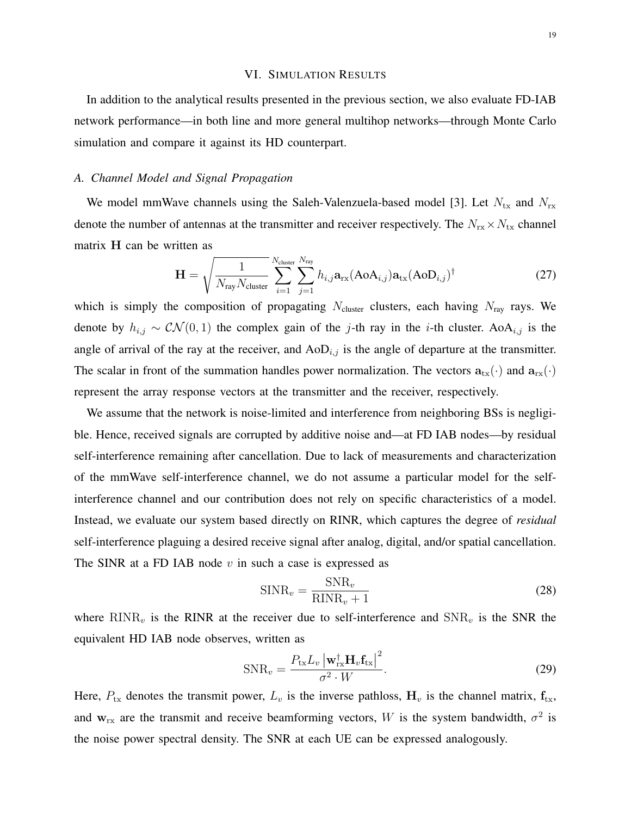## VI. SIMULATION RESULTS

In addition to the analytical results presented in the previous section, we also evaluate FD-IAB network performance—in both line and more general multihop networks—through Monte Carlo simulation and compare it against its HD counterpart.

## *A. Channel Model and Signal Propagation*

We model mmWave channels using the Saleh-Valenzuela-based model [3]. Let  $N_{\text{tx}}$  and  $N_{\text{rx}}$ denote the number of antennas at the transmitter and receiver respectively. The  $N_{rx} \times N_{tx}$  channel matrix H can be written as

$$
\mathbf{H} = \sqrt{\frac{1}{N_{\text{ray}}N_{\text{cluster}}}} \sum_{i=1}^{N_{\text{cluster}}} \sum_{j=1}^{N_{\text{ray}}} h_{i,j} \mathbf{a}_{\text{rx}} (\text{AoA}_{i,j}) \mathbf{a}_{\text{tx}} (\text{AoD}_{i,j})^{\dagger}
$$
(27)

which is simply the composition of propagating  $N_{\text{cluster}}$  clusters, each having  $N_{\text{ray}}$  rays. We denote by  $h_{i,j} \sim \mathcal{CN}(0, 1)$  the complex gain of the j-th ray in the i-th cluster. AoA<sub>i,j</sub> is the angle of arrival of the ray at the receiver, and  $AoD<sub>i,j</sub>$  is the angle of departure at the transmitter. The scalar in front of the summation handles power normalization. The vectors  $a_{tx}(\cdot)$  and  $a_{rx}(\cdot)$ represent the array response vectors at the transmitter and the receiver, respectively.

We assume that the network is noise-limited and interference from neighboring BSs is negligible. Hence, received signals are corrupted by additive noise and—at FD IAB nodes—by residual self-interference remaining after cancellation. Due to lack of measurements and characterization of the mmWave self-interference channel, we do not assume a particular model for the selfinterference channel and our contribution does not rely on specific characteristics of a model. Instead, we evaluate our system based directly on RINR, which captures the degree of *residual* self-interference plaguing a desired receive signal after analog, digital, and/or spatial cancellation. The SINR at a FD IAB node  $v$  in such a case is expressed as

$$
SINR_v = \frac{SNR_v}{RINR_v + 1}
$$
\n(28)

where  $RINR<sub>v</sub>$  is the RINR at the receiver due to self-interference and  $SNR<sub>v</sub>$  is the SNR the equivalent HD IAB node observes, written as

$$
SNR_v = \frac{P_{tx}L_v \left| \mathbf{w}_{rx}^\dagger \mathbf{H}_v \mathbf{f}_{tx} \right|^2}{\sigma^2 \cdot W}.
$$
\n(29)

Here,  $P_{tx}$  denotes the transmit power,  $L_v$  is the inverse pathloss,  $H_v$  is the channel matrix,  $f_{tx}$ , and  $w_{rx}$  are the transmit and receive beamforming vectors, W is the system bandwidth,  $\sigma^2$  is the noise power spectral density. The SNR at each UE can be expressed analogously.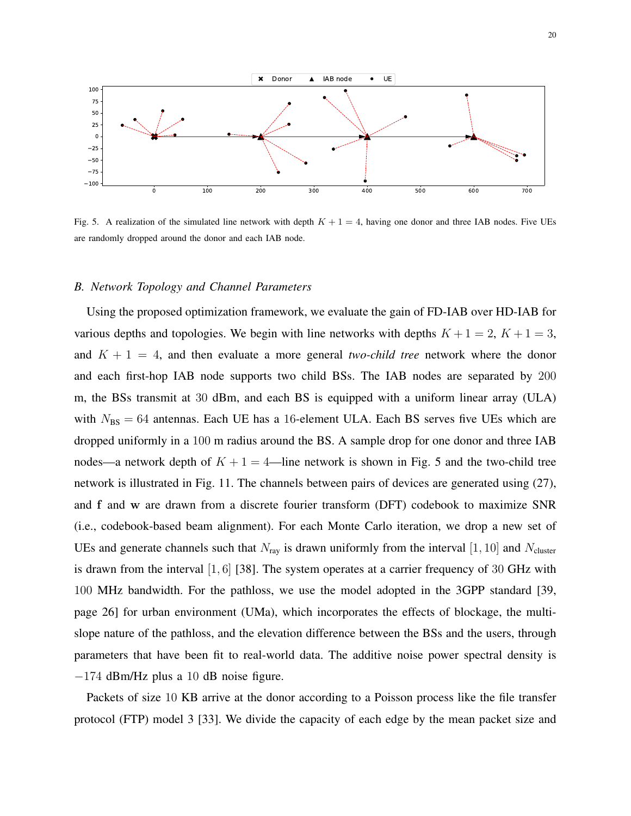

Fig. 5. A realization of the simulated line network with depth  $K + 1 = 4$ , having one donor and three IAB nodes. Five UEs are randomly dropped around the donor and each IAB node.

## *B. Network Topology and Channel Parameters*

Using the proposed optimization framework, we evaluate the gain of FD-IAB over HD-IAB for various depths and topologies. We begin with line networks with depths  $K + 1 = 2$ ,  $K + 1 = 3$ , and  $K + 1 = 4$ , and then evaluate a more general *two-child tree* network where the donor and each first-hop IAB node supports two child BSs. The IAB nodes are separated by 200 m, the BSs transmit at 30 dBm, and each BS is equipped with a uniform linear array (ULA) with  $N_{\text{BS}} = 64$  antennas. Each UE has a 16-element ULA. Each BS serves five UEs which are dropped uniformly in a 100 m radius around the BS. A sample drop for one donor and three IAB nodes—a network depth of  $K + 1 = 4$ —line network is shown in Fig. 5 and the two-child tree network is illustrated in Fig. 11. The channels between pairs of devices are generated using (27), and f and w are drawn from a discrete fourier transform (DFT) codebook to maximize SNR (i.e., codebook-based beam alignment). For each Monte Carlo iteration, we drop a new set of UEs and generate channels such that  $N_{\text{ray}}$  is drawn uniformly from the interval [1, 10] and  $N_{\text{cluster}}$ is drawn from the interval [1, 6] [38]. The system operates at a carrier frequency of 30 GHz with 100 MHz bandwidth. For the pathloss, we use the model adopted in the 3GPP standard [39, page 26] for urban environment (UMa), which incorporates the effects of blockage, the multislope nature of the pathloss, and the elevation difference between the BSs and the users, through parameters that have been fit to real-world data. The additive noise power spectral density is −174 dBm/Hz plus a 10 dB noise figure.

Packets of size 10 KB arrive at the donor according to a Poisson process like the file transfer protocol (FTP) model 3 [33]. We divide the capacity of each edge by the mean packet size and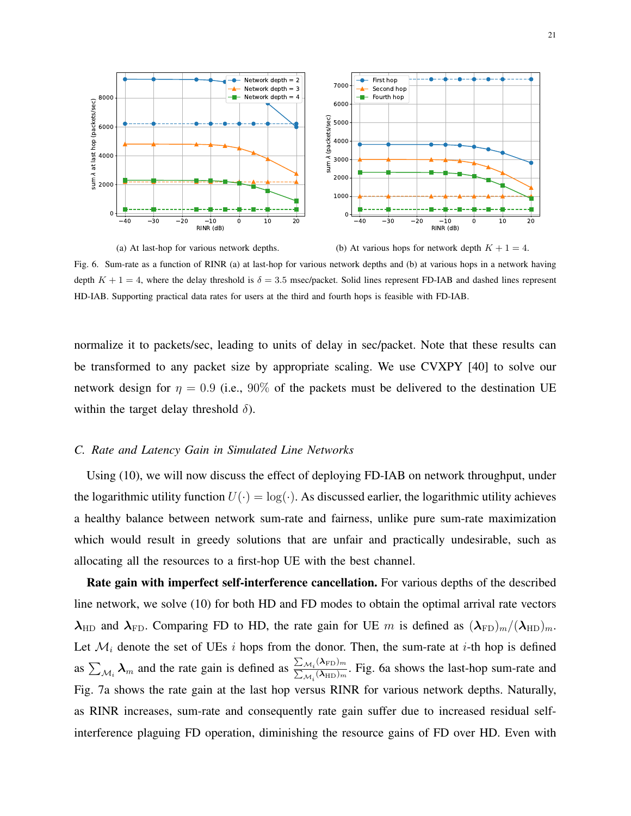

(a) At last-hop for various network depths. (b) At various hops for network depth  $K + 1 = 4$ . Fig. 6. Sum-rate as a function of RINR (a) at last-hop for various network depths and (b) at various hops in a network having depth  $K + 1 = 4$ , where the delay threshold is  $\delta = 3.5$  msec/packet. Solid lines represent FD-IAB and dashed lines represent HD-IAB. Supporting practical data rates for users at the third and fourth hops is feasible with FD-IAB.

normalize it to packets/sec, leading to units of delay in sec/packet. Note that these results can be transformed to any packet size by appropriate scaling. We use CVXPY [40] to solve our network design for  $\eta = 0.9$  (i.e., 90% of the packets must be delivered to the destination UE within the target delay threshold  $\delta$ ).

## *C. Rate and Latency Gain in Simulated Line Networks*

Using (10), we will now discuss the effect of deploying FD-IAB on network throughput, under the logarithmic utility function  $U(\cdot) = \log(\cdot)$ . As discussed earlier, the logarithmic utility achieves a healthy balance between network sum-rate and fairness, unlike pure sum-rate maximization which would result in greedy solutions that are unfair and practically undesirable, such as allocating all the resources to a first-hop UE with the best channel.

Rate gain with imperfect self-interference cancellation. For various depths of the described line network, we solve (10) for both HD and FD modes to obtain the optimal arrival rate vectors  $\lambda_{HD}$  and  $\lambda_{FD}$ . Comparing FD to HD, the rate gain for UE m is defined as  $(\lambda_{FD})_m/(\lambda_{HD})_m$ . Let  $\mathcal{M}_i$  denote the set of UEs i hops from the donor. Then, the sum-rate at i-th hop is defined as  $\sum_{\mathcal{M}_i} \lambda_m$  and the rate gain is defined as  $\frac{\sum_{\mathcal{M}_i} (\lambda_{FD})_m}{\sum_{\mathcal{M}_i} (\lambda_{HD})_m}$  $\frac{\sum M_i(\lambda_{\text{HD}})_{m}}{\sum_{M_i}(\lambda_{\text{HD}})_{m}}$ . Fig. 6a shows the last-hop sum-rate and Fig. 7a shows the rate gain at the last hop versus RINR for various network depths. Naturally, as RINR increases, sum-rate and consequently rate gain suffer due to increased residual selfinterference plaguing FD operation, diminishing the resource gains of FD over HD. Even with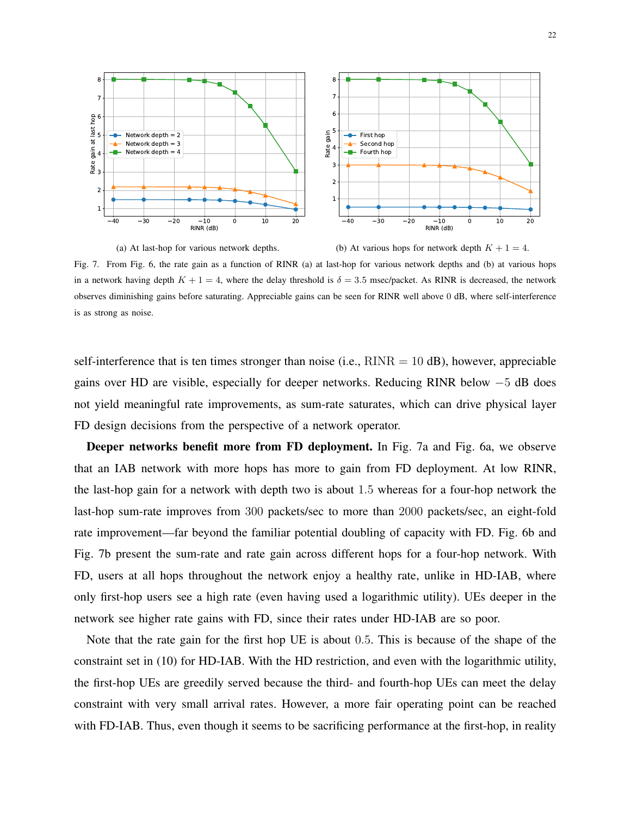

(a) At last-hop for various network depths. (b) At various hops for network depth  $K + 1 = 4$ . Fig. 7. From Fig. 6, the rate gain as a function of RINR (a) at last-hop for various network depths and (b) at various hops in a network having depth  $K + 1 = 4$ , where the delay threshold is  $\delta = 3.5$  msec/packet. As RINR is decreased, the network observes diminishing gains before saturating. Appreciable gains can be seen for RINR well above 0 dB, where self-interference is as strong as noise.

self-interference that is ten times stronger than noise (i.e.,  $\text{RINR} = 10 \text{ dB}$ ), however, appreciable gains over HD are visible, especially for deeper networks. Reducing RINR below −5 dB does not yield meaningful rate improvements, as sum-rate saturates, which can drive physical layer FD design decisions from the perspective of a network operator.

Deeper networks benefit more from FD deployment. In Fig. 7a and Fig. 6a, we observe that an IAB network with more hops has more to gain from FD deployment. At low RINR, the last-hop gain for a network with depth two is about 1.5 whereas for a four-hop network the last-hop sum-rate improves from 300 packets/sec to more than 2000 packets/sec, an eight-fold rate improvement—far beyond the familiar potential doubling of capacity with FD. Fig. 6b and Fig. 7b present the sum-rate and rate gain across different hops for a four-hop network. With FD, users at all hops throughout the network enjoy a healthy rate, unlike in HD-IAB, where only first-hop users see a high rate (even having used a logarithmic utility). UEs deeper in the network see higher rate gains with FD, since their rates under HD-IAB are so poor.

Note that the rate gain for the first hop UE is about 0.5. This is because of the shape of the constraint set in (10) for HD-IAB. With the HD restriction, and even with the logarithmic utility, the first-hop UEs are greedily served because the third- and fourth-hop UEs can meet the delay constraint with very small arrival rates. However, a more fair operating point can be reached with FD-IAB. Thus, even though it seems to be sacrificing performance at the first-hop, in reality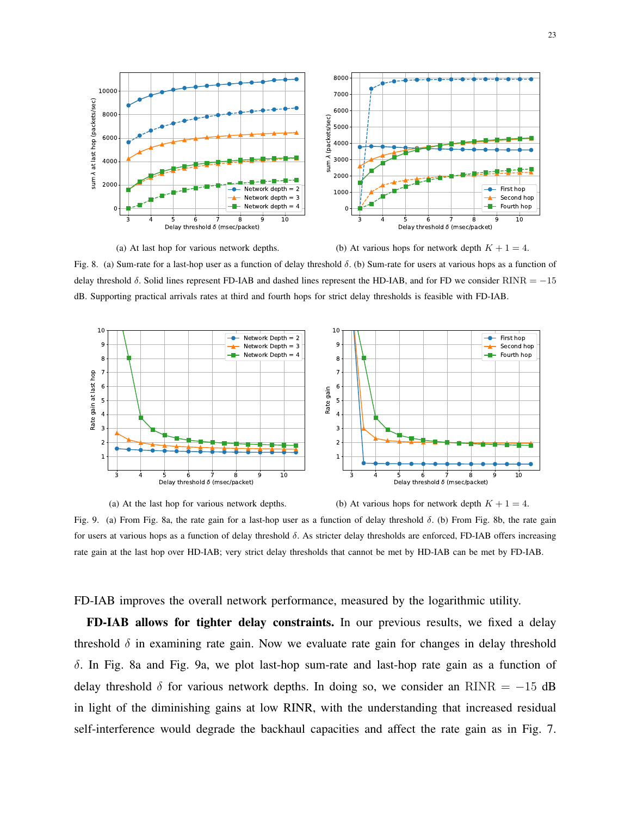

Fig. 8. (a) Sum-rate for a last-hop user as a function of delay threshold δ. (b) Sum-rate for users at various hops as a function of delay threshold  $\delta$ . Solid lines represent FD-IAB and dashed lines represent the HD-IAB, and for FD we consider RINR = −15 dB. Supporting practical arrivals rates at third and fourth hops for strict delay thresholds is feasible with FD-IAB.





Fig. 9. (a) From Fig. 8a, the rate gain for a last-hop user as a function of delay threshold δ. (b) From Fig. 8b, the rate gain for users at various hops as a function of delay threshold δ. As stricter delay thresholds are enforced, FD-IAB offers increasing rate gain at the last hop over HD-IAB; very strict delay thresholds that cannot be met by HD-IAB can be met by FD-IAB.

FD-IAB improves the overall network performance, measured by the logarithmic utility.

FD-IAB allows for tighter delay constraints. In our previous results, we fixed a delay threshold  $\delta$  in examining rate gain. Now we evaluate rate gain for changes in delay threshold δ. In Fig. 8a and Fig. 9a, we plot last-hop sum-rate and last-hop rate gain as a function of delay threshold  $\delta$  for various network depths. In doing so, we consider an RINR = −15 dB in light of the diminishing gains at low RINR, with the understanding that increased residual self-interference would degrade the backhaul capacities and affect the rate gain as in Fig. 7.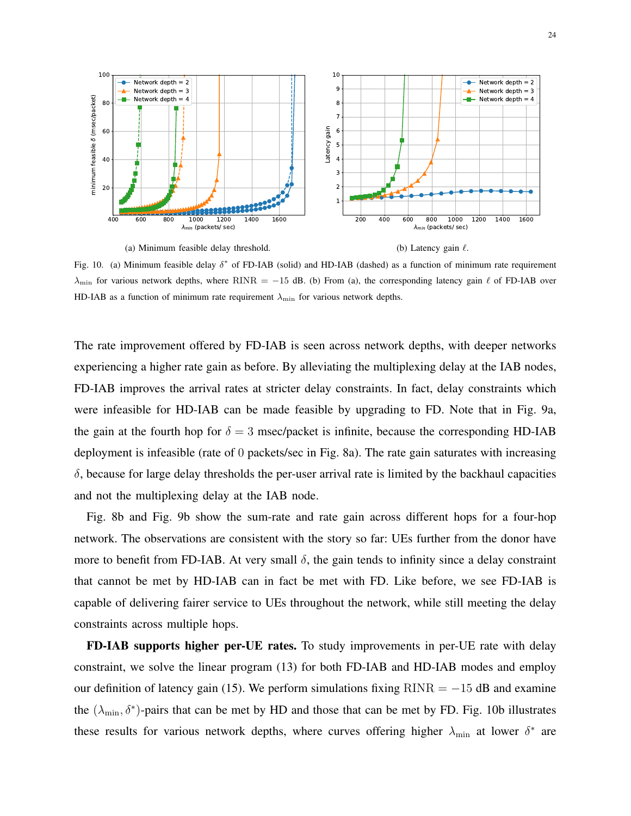

Fig. 10. (a) Minimum feasible delay  $\delta^*$  of FD-IAB (solid) and HD-IAB (dashed) as a function of minimum rate requirement  $\lambda_{\text{min}}$  for various network depths, where RINR = −15 dB. (b) From (a), the corresponding latency gain  $\ell$  of FD-IAB over HD-IAB as a function of minimum rate requirement  $\lambda_{\min}$  for various network depths.

The rate improvement offered by FD-IAB is seen across network depths, with deeper networks experiencing a higher rate gain as before. By alleviating the multiplexing delay at the IAB nodes, FD-IAB improves the arrival rates at stricter delay constraints. In fact, delay constraints which were infeasible for HD-IAB can be made feasible by upgrading to FD. Note that in Fig. 9a, the gain at the fourth hop for  $\delta = 3$  msec/packet is infinite, because the corresponding HD-IAB deployment is infeasible (rate of 0 packets/sec in Fig. 8a). The rate gain saturates with increasing  $\delta$ , because for large delay thresholds the per-user arrival rate is limited by the backhaul capacities and not the multiplexing delay at the IAB node.

Fig. 8b and Fig. 9b show the sum-rate and rate gain across different hops for a four-hop network. The observations are consistent with the story so far: UEs further from the donor have more to benefit from FD-IAB. At very small  $\delta$ , the gain tends to infinity since a delay constraint that cannot be met by HD-IAB can in fact be met with FD. Like before, we see FD-IAB is capable of delivering fairer service to UEs throughout the network, while still meeting the delay constraints across multiple hops.

FD-IAB supports higher per-UE rates. To study improvements in per-UE rate with delay constraint, we solve the linear program (13) for both FD-IAB and HD-IAB modes and employ our definition of latency gain (15). We perform simulations fixing  $RINR = -15$  dB and examine the  $(\lambda_{\min}, \delta^*)$ -pairs that can be met by HD and those that can be met by FD. Fig. 10b illustrates these results for various network depths, where curves offering higher  $\lambda_{\min}$  at lower  $\delta^*$  are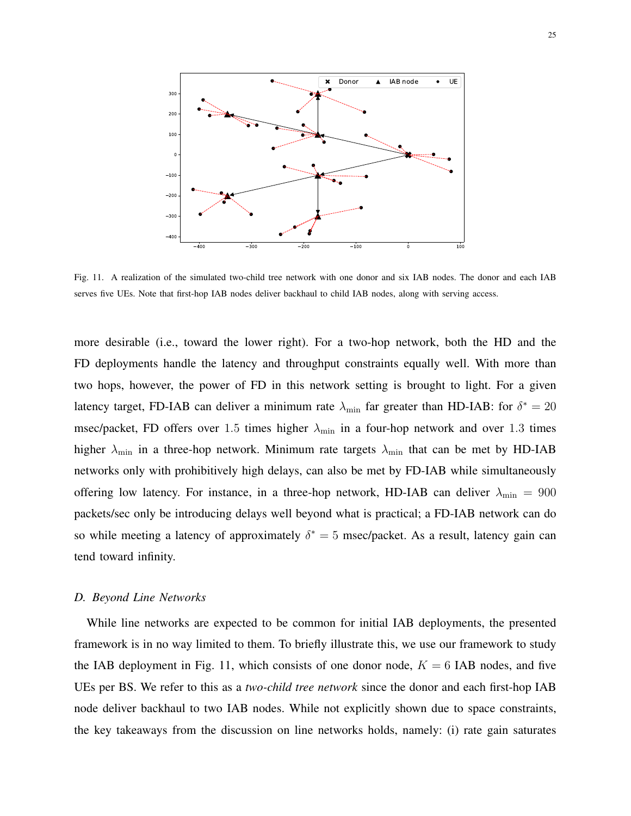

Fig. 11. A realization of the simulated two-child tree network with one donor and six IAB nodes. The donor and each IAB serves five UEs. Note that first-hop IAB nodes deliver backhaul to child IAB nodes, along with serving access.

more desirable (i.e., toward the lower right). For a two-hop network, both the HD and the FD deployments handle the latency and throughput constraints equally well. With more than two hops, however, the power of FD in this network setting is brought to light. For a given latency target, FD-IAB can deliver a minimum rate  $\lambda_{\min}$  far greater than HD-IAB: for  $\delta^* = 20$ msec/packet, FD offers over 1.5 times higher  $\lambda_{\min}$  in a four-hop network and over 1.3 times higher  $\lambda_{\min}$  in a three-hop network. Minimum rate targets  $\lambda_{\min}$  that can be met by HD-IAB networks only with prohibitively high delays, can also be met by FD-IAB while simultaneously offering low latency. For instance, in a three-hop network, HD-IAB can deliver  $\lambda_{\min} = 900$ packets/sec only be introducing delays well beyond what is practical; a FD-IAB network can do so while meeting a latency of approximately  $\delta^* = 5$  msec/packet. As a result, latency gain can tend toward infinity.

## *D. Beyond Line Networks*

While line networks are expected to be common for initial IAB deployments, the presented framework is in no way limited to them. To briefly illustrate this, we use our framework to study the IAB deployment in Fig. 11, which consists of one donor node,  $K = 6$  IAB nodes, and five UEs per BS. We refer to this as a *two-child tree network* since the donor and each first-hop IAB node deliver backhaul to two IAB nodes. While not explicitly shown due to space constraints, the key takeaways from the discussion on line networks holds, namely: (i) rate gain saturates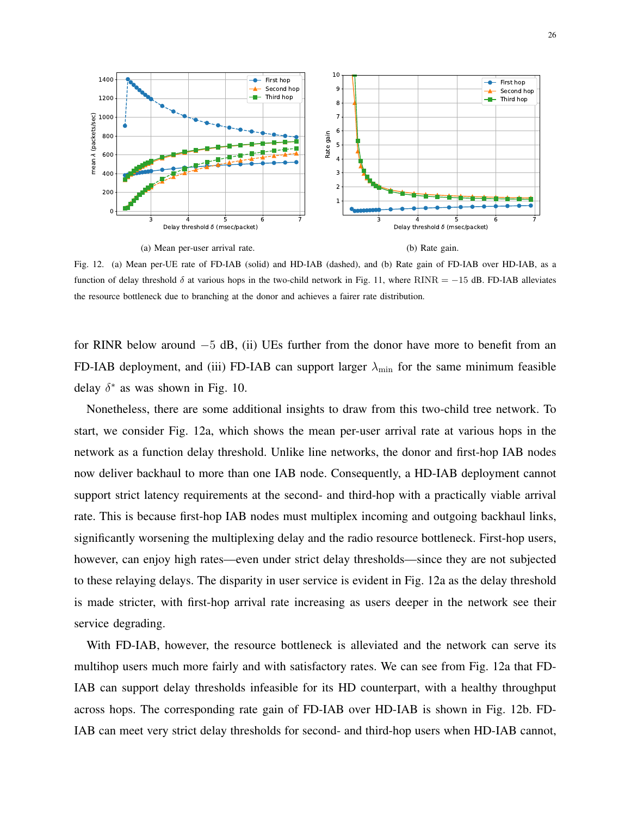

26



Fig. 12. (a) Mean per-UE rate of FD-IAB (solid) and HD-IAB (dashed), and (b) Rate gain of FD-IAB over HD-IAB, as a function of delay threshold  $\delta$  at various hops in the two-child network in Fig. 11, where RINR = −15 dB. FD-IAB alleviates the resource bottleneck due to branching at the donor and achieves a fairer rate distribution.

for RINR below around −5 dB, (ii) UEs further from the donor have more to benefit from an FD-IAB deployment, and (iii) FD-IAB can support larger  $\lambda_{\text{min}}$  for the same minimum feasible delay  $\delta^*$  as was shown in Fig. 10.

Nonetheless, there are some additional insights to draw from this two-child tree network. To start, we consider Fig. 12a, which shows the mean per-user arrival rate at various hops in the network as a function delay threshold. Unlike line networks, the donor and first-hop IAB nodes now deliver backhaul to more than one IAB node. Consequently, a HD-IAB deployment cannot support strict latency requirements at the second- and third-hop with a practically viable arrival rate. This is because first-hop IAB nodes must multiplex incoming and outgoing backhaul links, significantly worsening the multiplexing delay and the radio resource bottleneck. First-hop users, however, can enjoy high rates—even under strict delay thresholds—since they are not subjected to these relaying delays. The disparity in user service is evident in Fig. 12a as the delay threshold is made stricter, with first-hop arrival rate increasing as users deeper in the network see their service degrading.

With FD-IAB, however, the resource bottleneck is alleviated and the network can serve its multihop users much more fairly and with satisfactory rates. We can see from Fig. 12a that FD-IAB can support delay thresholds infeasible for its HD counterpart, with a healthy throughput across hops. The corresponding rate gain of FD-IAB over HD-IAB is shown in Fig. 12b. FD-IAB can meet very strict delay thresholds for second- and third-hop users when HD-IAB cannot,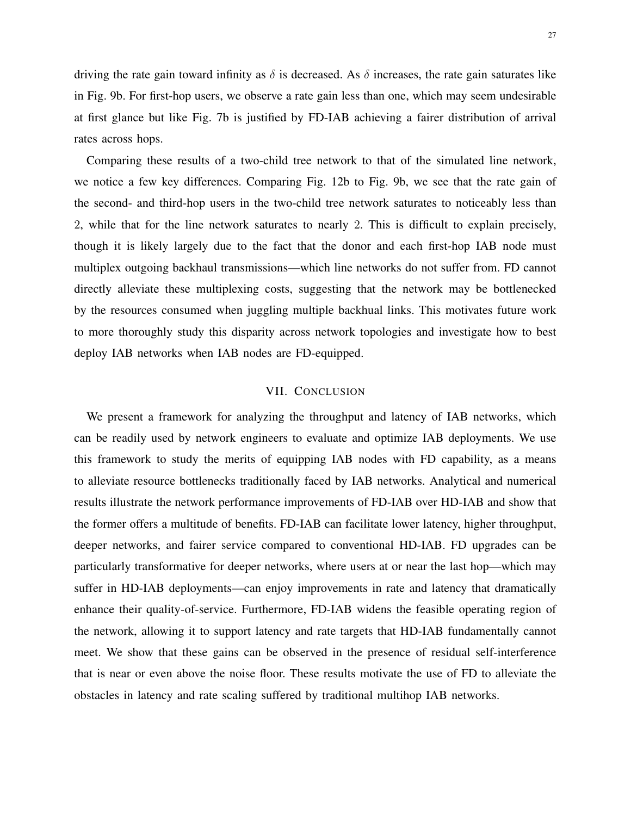driving the rate gain toward infinity as  $\delta$  is decreased. As  $\delta$  increases, the rate gain saturates like in Fig. 9b. For first-hop users, we observe a rate gain less than one, which may seem undesirable at first glance but like Fig. 7b is justified by FD-IAB achieving a fairer distribution of arrival rates across hops.

Comparing these results of a two-child tree network to that of the simulated line network, we notice a few key differences. Comparing Fig. 12b to Fig. 9b, we see that the rate gain of the second- and third-hop users in the two-child tree network saturates to noticeably less than 2, while that for the line network saturates to nearly 2. This is difficult to explain precisely, though it is likely largely due to the fact that the donor and each first-hop IAB node must multiplex outgoing backhaul transmissions—which line networks do not suffer from. FD cannot directly alleviate these multiplexing costs, suggesting that the network may be bottlenecked by the resources consumed when juggling multiple backhual links. This motivates future work to more thoroughly study this disparity across network topologies and investigate how to best deploy IAB networks when IAB nodes are FD-equipped.

# VII. CONCLUSION

We present a framework for analyzing the throughput and latency of IAB networks, which can be readily used by network engineers to evaluate and optimize IAB deployments. We use this framework to study the merits of equipping IAB nodes with FD capability, as a means to alleviate resource bottlenecks traditionally faced by IAB networks. Analytical and numerical results illustrate the network performance improvements of FD-IAB over HD-IAB and show that the former offers a multitude of benefits. FD-IAB can facilitate lower latency, higher throughput, deeper networks, and fairer service compared to conventional HD-IAB. FD upgrades can be particularly transformative for deeper networks, where users at or near the last hop—which may suffer in HD-IAB deployments—can enjoy improvements in rate and latency that dramatically enhance their quality-of-service. Furthermore, FD-IAB widens the feasible operating region of the network, allowing it to support latency and rate targets that HD-IAB fundamentally cannot meet. We show that these gains can be observed in the presence of residual self-interference that is near or even above the noise floor. These results motivate the use of FD to alleviate the obstacles in latency and rate scaling suffered by traditional multihop IAB networks.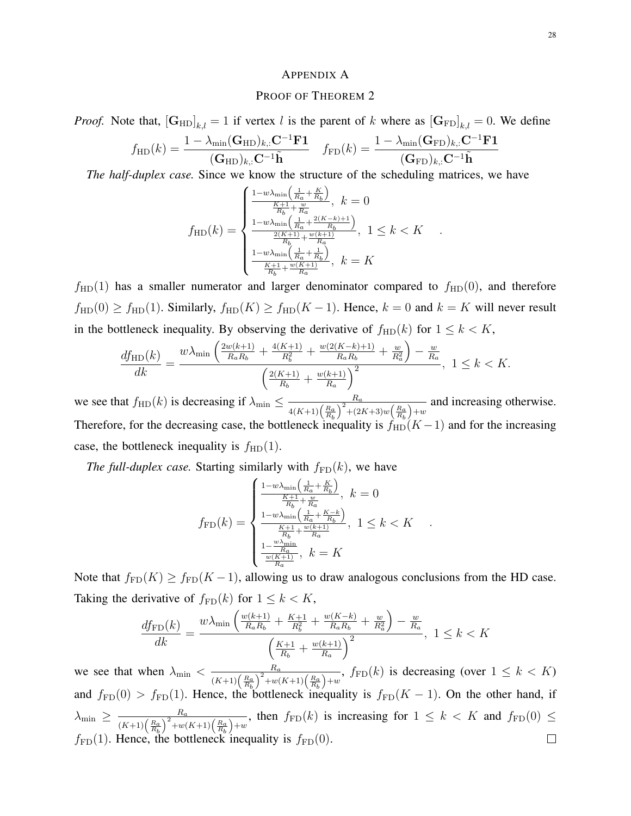## APPENDIX A

# PROOF OF THEOREM 2

*Proof.* Note that,  $[\mathbf{G}_{HD}]_{k,l} = 1$  if vertex l is the parent of k where as  $[\mathbf{G}_{FD}]_{k,l} = 0$ . We define

$$
f_{\rm HD}(k) = \frac{1 - \lambda_{\rm min}(\mathbf{G}_{\rm HD})_{k,:} \mathbf{C}^{-1} \mathbf{F} \mathbf{1}}{(\mathbf{G}_{\rm HD})_{k,:} \mathbf{C}^{-1} \tilde{\mathbf{h}}} \quad f_{\rm FD}(k) = \frac{1 - \lambda_{\rm min}(\mathbf{G}_{\rm FD})_{k,:} \mathbf{C}^{-1} \mathbf{F} \mathbf{1}}{(\mathbf{G}_{\rm FD})_{k,:} \mathbf{C}^{-1} \tilde{\mathbf{h}}}
$$

*The half-duplex case.* Since we know the structure of the scheduling matrices, we have

$$
f_{\rm HD}(k) = \begin{cases} \frac{1 - w\lambda_{\rm min}\left(\frac{1}{R_a} + \frac{K}{R_b}\right)}{\frac{K+1}{R_b} + \frac{w}{R_a}}, \ k = 0\\ \frac{1 - w\lambda_{\rm min}\left(\frac{1}{R_a} + \frac{2(K-k)+1}{R_b}\right)}{\frac{2(K+1)}{R_b} + \frac{w(k+1)}{R_a}}, \ 1 \leq k < K\\ \frac{1 - w\lambda_{\rm min}\left(\frac{1}{R_a} + \frac{1}{R_b}\right)}{\frac{K+1}{R_b} + \frac{w(K+1)}{R_a}}, \ k = K \end{cases}
$$

.

.

 $f<sub>HD</sub>(1)$  has a smaller numerator and larger denominator compared to  $f<sub>HD</sub>(0)$ , and therefore  $f_{\text{HD}}(0) \ge f_{\text{HD}}(1)$ . Similarly,  $f_{\text{HD}}(K) \ge f_{\text{HD}}(K-1)$ . Hence,  $k = 0$  and  $k = K$  will never result in the bottleneck inequality. By observing the derivative of  $f_{HD}(k)$  for  $1 \leq k < K$ ,

$$
\frac{df_{\text{HD}}(k)}{dk} = \frac{w\lambda_{\min}\left(\frac{2w(k+1)}{R_aR_b} + \frac{4(K+1)}{R_b^2} + \frac{w(2(K-k)+1)}{R_aR_b} + \frac{w}{R_a^2}\right) - \frac{w}{R_a}}{\left(\frac{2(K+1)}{R_b} + \frac{w(k+1)}{R_a}\right)^2}, \ 1 \le k < K.
$$

we see that  $f_{HD}(k)$  is decreasing if  $\lambda_{min} \leq \frac{R_a}{\sqrt{(R_a)^2 + R_a^2}}$  $\frac{R_a}{4(K+1)\left(\frac{R_a}{R_b}\right)^2+(2K+3)w\left(\frac{R_a}{R_b}\right)+w}$  and increasing otherwise. Therefore, for the decreasing case, the bottleneck inequality is  $f_{HD}(K-1)$  and for the increasing case, the bottleneck inequality is  $f_{HD}(1)$ .

*The full-duplex case.* Starting similarly with  $f_{FD}(k)$ , we have

$$
f_{\rm FD}(k) = \begin{cases} \frac{1 - w\lambda_{\min}\left(\frac{1}{R_a} + \frac{K}{R_b}\right)}{\frac{K+1}{R_b} + \frac{w}{R_a}}, \ k = 0\\ \frac{1 - w\lambda_{\min}\left(\frac{1}{R_a} + \frac{K-k}{R_b}\right)}{\frac{K+1}{R_b} + \frac{w(k+1)}{R_a}}, \ 1 \le k < K\\ \frac{1 - \frac{w\lambda_{\min}}{R_a}}{\frac{w(K+1)}{R_a}}, \ k = K \end{cases}
$$

Note that  $f_{FD}(K) \ge f_{FD}(K-1)$ , allowing us to draw analogous conclusions from the HD case. Taking the derivative of  $f_{FD}(k)$  for  $1 \leq k \leq K$ ,

$$
\frac{df_{\rm FD}(k)}{dk} = \frac{w\lambda_{\rm min}\left(\frac{w(k+1)}{R_aR_b} + \frac{K+1}{R_b^2} + \frac{w(K-k)}{R_aR_b} + \frac{w}{R_a^2}\right) - \frac{w}{R_a}}{\left(\frac{K+1}{R_b} + \frac{w(k+1)}{R_a}\right)^2}, \ 1 \le k < K
$$

we see that when  $\lambda_{\min} < \frac{R_a}{(R_a)^2}$  $\frac{R_a}{(K+1)\left(\frac{R_a}{R_b}\right)^2 + w(K+1)\left(\frac{R_a}{R_b}\right) + w}$ ,  $f_{FD}(k)$  is decreasing (over  $1 \leq k \leq K$ ) and  $f_{FD}(0) > f_{FD}(1)$ . Hence, the bottleneck inequality is  $f_{FD}(K-1)$ . On the other hand, if  $\lambda_{\min} \geq \frac{R_a}{\left(1 + \frac{1}{R_a}\right)^2}$  $\frac{R_a}{(K+1)\left(\frac{R_a}{R_b}\right)^2 + w(K+1)\left(\frac{R_a}{R_b}\right) + w}$ , then  $f_{FD}(k)$  is increasing for  $1 \leq k < K$  and  $f_{FD}(0) \leq$  $\Box$  $f_{FD}(1)$ . Hence, the bottleneck inequality is  $f_{FD}(0)$ .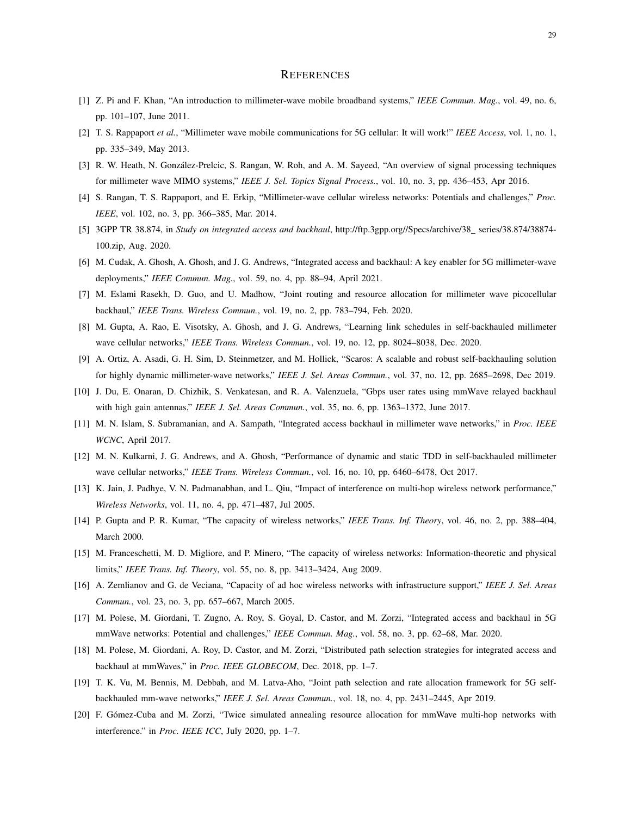#### **REFERENCES**

- [1] Z. Pi and F. Khan, "An introduction to millimeter-wave mobile broadband systems," *IEEE Commun. Mag.*, vol. 49, no. 6, pp. 101–107, June 2011.
- [2] T. S. Rappaport *et al.*, "Millimeter wave mobile communications for 5G cellular: It will work!" *IEEE Access*, vol. 1, no. 1, pp. 335–349, May 2013.
- [3] R. W. Heath, N. González-Prelcic, S. Rangan, W. Roh, and A. M. Sayeed, "An overview of signal processing techniques for millimeter wave MIMO systems," *IEEE J. Sel. Topics Signal Process.*, vol. 10, no. 3, pp. 436–453, Apr 2016.
- [4] S. Rangan, T. S. Rappaport, and E. Erkip, "Millimeter-wave cellular wireless networks: Potentials and challenges," *Proc. IEEE*, vol. 102, no. 3, pp. 366–385, Mar. 2014.
- [5] 3GPP TR 38.874, in *Study on integrated access and backhaul*, http://ftp.3gpp.org//Specs/archive/38\_series/38.874/38874-100.zip, Aug. 2020.
- [6] M. Cudak, A. Ghosh, A. Ghosh, and J. G. Andrews, "Integrated access and backhaul: A key enabler for 5G millimeter-wave deployments," *IEEE Commun. Mag.*, vol. 59, no. 4, pp. 88–94, April 2021.
- [7] M. Eslami Rasekh, D. Guo, and U. Madhow, "Joint routing and resource allocation for millimeter wave picocellular backhaul," *IEEE Trans. Wireless Commun.*, vol. 19, no. 2, pp. 783–794, Feb. 2020.
- [8] M. Gupta, A. Rao, E. Visotsky, A. Ghosh, and J. G. Andrews, "Learning link schedules in self-backhauled millimeter wave cellular networks," *IEEE Trans. Wireless Commun.*, vol. 19, no. 12, pp. 8024–8038, Dec. 2020.
- [9] A. Ortiz, A. Asadi, G. H. Sim, D. Steinmetzer, and M. Hollick, "Scaros: A scalable and robust self-backhauling solution for highly dynamic millimeter-wave networks," *IEEE J. Sel. Areas Commun.*, vol. 37, no. 12, pp. 2685–2698, Dec 2019.
- [10] J. Du, E. Onaran, D. Chizhik, S. Venkatesan, and R. A. Valenzuela, "Gbps user rates using mmWave relayed backhaul with high gain antennas," *IEEE J. Sel. Areas Commun.*, vol. 35, no. 6, pp. 1363–1372, June 2017.
- [11] M. N. Islam, S. Subramanian, and A. Sampath, "Integrated access backhaul in millimeter wave networks," in *Proc. IEEE WCNC*, April 2017.
- [12] M. N. Kulkarni, J. G. Andrews, and A. Ghosh, "Performance of dynamic and static TDD in self-backhauled millimeter wave cellular networks," *IEEE Trans. Wireless Commun.*, vol. 16, no. 10, pp. 6460–6478, Oct 2017.
- [13] K. Jain, J. Padhye, V. N. Padmanabhan, and L. Qiu, "Impact of interference on multi-hop wireless network performance," *Wireless Networks*, vol. 11, no. 4, pp. 471–487, Jul 2005.
- [14] P. Gupta and P. R. Kumar, "The capacity of wireless networks," *IEEE Trans. Inf. Theory*, vol. 46, no. 2, pp. 388–404, March 2000.
- [15] M. Franceschetti, M. D. Migliore, and P. Minero, "The capacity of wireless networks: Information-theoretic and physical limits," *IEEE Trans. Inf. Theory*, vol. 55, no. 8, pp. 3413–3424, Aug 2009.
- [16] A. Zemlianov and G. de Veciana, "Capacity of ad hoc wireless networks with infrastructure support," *IEEE J. Sel. Areas Commun.*, vol. 23, no. 3, pp. 657–667, March 2005.
- [17] M. Polese, M. Giordani, T. Zugno, A. Roy, S. Goyal, D. Castor, and M. Zorzi, "Integrated access and backhaul in 5G mmWave networks: Potential and challenges," *IEEE Commun. Mag.*, vol. 58, no. 3, pp. 62–68, Mar. 2020.
- [18] M. Polese, M. Giordani, A. Roy, D. Castor, and M. Zorzi, "Distributed path selection strategies for integrated access and backhaul at mmWaves," in *Proc. IEEE GLOBECOM*, Dec. 2018, pp. 1–7.
- [19] T. K. Vu, M. Bennis, M. Debbah, and M. Latva-Aho, "Joint path selection and rate allocation framework for 5G selfbackhauled mm-wave networks," *IEEE J. Sel. Areas Commun.*, vol. 18, no. 4, pp. 2431–2445, Apr 2019.
- [20] F. Gomez-Cuba and M. Zorzi, "Twice simulated annealing resource allocation for mmWave multi-hop networks with ´ interference." in *Proc. IEEE ICC*, July 2020, pp. 1–7.